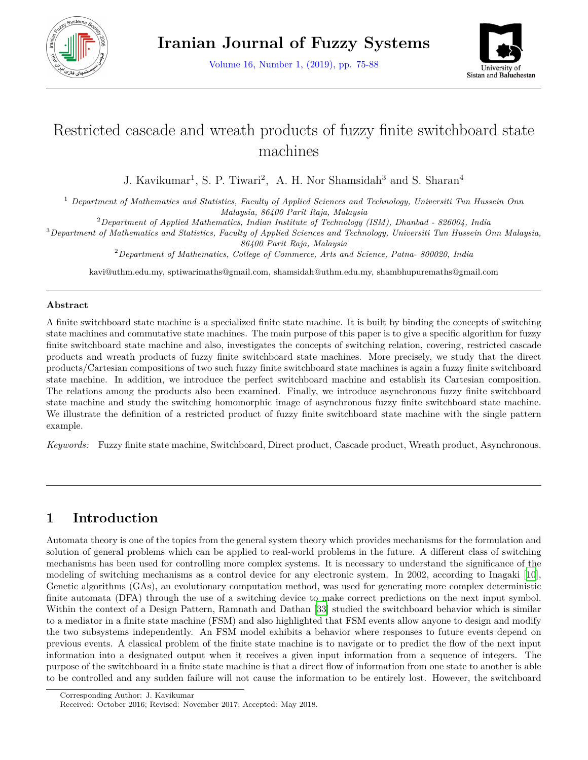

Volume 16, Number 1, (2019), pp. 75-88



# Restricted cascade and wreath products of fuzzy finite switchboard state machines

J. Kavikumar<sup>1</sup>, S. P. Tiwari<sup>2</sup>, A. H. Nor Shamsidah<sup>3</sup> and S. Sharan<sup>4</sup>

<sup>1</sup> *Department of Mathematics and Statistics, Faculty of Applied Sciences and Technology, Universiti Tun Hussein Onn Malaysia, 86400 Parit Raja, Malaysia*

<sup>2</sup>*Department of Applied Mathematics, Indian Institute of Technology (ISM), Dhanbad - 826004, India*

<sup>3</sup>*Department of Mathematics and Statistics, Faculty of Applied Sciences and Technology, Universiti Tun Hussein Onn Malaysia, 86400 Parit Raja, Malaysia*

<sup>2</sup>*Department of Mathematics, College of Commerce, Arts and Science, Patna- 800020, India*

kavi@uthm.edu.my, sptiwarimaths@gmail.com, shamsidah@uthm.edu.my, shambhupuremaths@gmail.com

#### **Abstract**

A finite switchboard state machine is a specialized finite state machine. It is built by binding the concepts of switching state machines and commutative state machines. The main purpose of this paper is to give a specific algorithm for fuzzy finite switchboard state machine and also, investigates the concepts of switching relation, covering, restricted cascade products and wreath products of fuzzy finite switchboard state machines. More precisely, we study that the direct products/Cartesian compositions of two such fuzzy finite switchboard state machines is again a fuzzy finite switchboard state machine. In addition, we introduce the perfect switchboard machine and establish its Cartesian composition. The relations among the products also been examined. Finally, we introduce asynchronous fuzzy finite switchboard state machine and study the switching homomorphic image of asynchronous fuzzy finite switchboard state machine. We illustrate the definition of a restricted product of fuzzy finite switchboard state machine with the single pattern example.

*Keywords:* Fuzzy finite state machine, Switchboard, Direct product, Cascade product, Wreath product, Asynchronous.

# **1 Introduction**

Automata theory is one of the topics from the general system theory which provides mechanisms for the formulation and solution of general problems which can be applied to real-world problems in the future. A different class of switching mechanisms has been used for controlling more complex systems. It is necessary to understand the significance of the modeling of switching mechanisms as a control device for any electronic system. In 2002, according to Inagaki [\[10](#page-12-0)], Genetic algorithms (GAs), an evolutionary computation method, was used for generating more complex deterministic finite automata (DFA) through the use of a switching device to make correct predictions on the next input symbol. Withinthe context of a Design Pattern, Ramnath and Dathan [[33\]](#page-13-0) studied the switchboard behavior which is similar to a mediator in a finite state machine (FSM) and also highlighted that FSM events allow anyone to design and modify the two subsystems independently. An FSM model exhibits a behavior where responses to future events depend on previous events. A classical problem of the finite state machine is to navigate or to predict the flow of the next input information into a designated output when it receives a given input information from a sequence of integers. The purpose of the switchboard in a finite state machine is that a direct flow of information from one state to another is able to be controlled and any sudden failure will not cause the information to be entirely lost. However, the switchboard

Corresponding Author: J. Kavikumar

Received: October 2016; Revised: November 2017; Accepted: May 2018.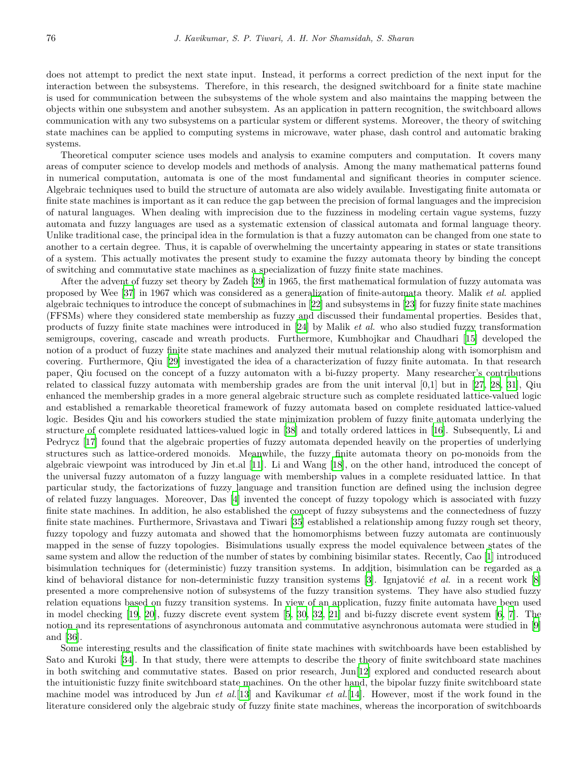does not attempt to predict the next state input. Instead, it performs a correct prediction of the next input for the interaction between the subsystems. Therefore, in this research, the designed switchboard for a finite state machine is used for communication between the subsystems of the whole system and also maintains the mapping between the objects within one subsystem and another subsystem. As an application in pattern recognition, the switchboard allows communication with any two subsystems on a particular system or different systems. Moreover, the theory of switching state machines can be applied to computing systems in microwave, water phase, dash control and automatic braking systems.

Theoretical computer science uses models and analysis to examine computers and computation. It covers many areas of computer science to develop models and methods of analysis. Among the many mathematical patterns found in numerical computation, automata is one of the most fundamental and significant theories in computer science. Algebraic techniques used to build the structure of automata are also widely available. Investigating finite automata or finite state machines is important as it can reduce the gap between the precision of formal languages and the imprecision of natural languages. When dealing with imprecision due to the fuzziness in modeling certain vague systems, fuzzy automata and fuzzy languages are used as a systematic extension of classical automata and formal language theory. Unlike traditional case, the principal idea in the formulation is that a fuzzy automaton can be changed from one state to another to a certain degree. Thus, it is capable of overwhelming the uncertainty appearing in states or state transitions of a system. This actually motivates the present study to examine the fuzzy automata theory by binding the concept of switching and commutative state machines as a specialization of fuzzy finite state machines.

After the advent of fuzzy set theory by Zadeh[[39\]](#page-13-1) in 1965, the first mathematical formulation of fuzzy automata was proposed by Wee[[37\]](#page-13-2) in 1967 which was considered as a generalization of finite-automata theory. Malik *et al*. applied algebraic techniques to introduce the concept of submachines in [\[22](#page-12-1)] and subsystems in [[23\]](#page-12-2) for fuzzy finite state machines (FFSMs) where they considered state membership as fuzzy and discussed their fundamental properties. Besides that, products of fuzzy finite state machines were introduced in [\[24](#page-12-3)] by Malik *et al.* who also studied fuzzy transformation semigroups, covering, cascade and wreath products. Furthermore, Kumbhojkar and Chaudhari [\[15](#page-12-4)] developed the notion of a product of fuzzy finite state machines and analyzed their mutual relationship along with isomorphism and covering. Furthermore, Qiu [[29\]](#page-13-3) investigated the idea of a characterization of fuzzy finite automata. In that research paper, Qiu focused on the concept of a fuzzy automaton with a bi-fuzzy property. Many researcher's contributions related to classical fuzzy automata with membership grades are from the unit interval [0,1] but in [\[27](#page-13-4), [28](#page-13-5), [31\]](#page-13-6), Qiu enhanced the membership grades in a more general algebraic structure such as complete residuated lattice-valued logic and established a remarkable theoretical framework of fuzzy automata based on complete residuated lattice-valued logic. Besides Qiu and his coworkers studied the state minimization problem of fuzzy finite automata underlying the structure of complete residuated lattices-valued logic in [[38\]](#page-13-7) and totally ordered lattices in [\[16](#page-12-5)]. Subsequently, Li and Pedrycz [\[17](#page-12-6)] found that the algebraic properties of fuzzy automata depended heavily on the properties of underlying structures such as lattice-ordered monoids. Meanwhile, the fuzzy finite automata theory on po-monoids from the algebraic viewpoint was introduced by Jin et.al [\[11](#page-12-7)]. Li and Wang [\[18](#page-12-8)], on the other hand, introduced the concept of the universal fuzzy automaton of a fuzzy language with membership values in a complete residuated lattice. In that particular study, the factorizations of fuzzy language and transition function are defined using the inclusion degree of related fuzzy languages. Moreover, Das [[4\]](#page-12-9) invented the concept of fuzzy topology which is associated with fuzzy finite state machines. In addition, he also established the concept of fuzzy subsystems and the connectedness of fuzzy finite state machines. Furthermore, Srivastava and Tiwari [[35\]](#page-13-8) established a relationship among fuzzy rough set theory, fuzzy topology and fuzzy automata and showed that the homomorphisms between fuzzy automata are continuously mapped in the sense of fuzzy topologies. Bisimulations usually express the model equivalence between states of the same system and allow the reduction of the number of states by combining bisimilar states. Recently, Cao [[1\]](#page-11-0) introduced bisimulation techniques for (deterministic) fuzzy transition systems. In addition, bisimulation can be regarded as a kind of behavioral distance for non-deterministic fuzzy transition systems [[3\]](#page-12-10). Ignjatović *et al.* in a recent work [\[8](#page-12-11)] presented a more comprehensive notion of subsystems of the fuzzy transition systems. They have also studied fuzzy relation equations based on fuzzy transition systems. In view of an application, fuzzy finite automata have been used in model checking [\[19](#page-12-12), [20\]](#page-12-13), fuzzy discrete event system [[5,](#page-12-14) [30](#page-13-9), [32,](#page-13-10) [21\]](#page-12-15) and bi-fuzzy discrete event system [\[6](#page-12-16), [7\]](#page-12-17). The notion and its representations of asynchronous automata and commutative asynchronous automata were studied in [\[9](#page-12-18)] and [\[36](#page-13-11)].

Some interesting results and the classification of finite state machines with switchboards have been established by Sato and Kuroki [[34\]](#page-13-12). In that study, there were attempts to describe the theory of finite switchboard state machines in both switching and commutative states. Based on prior research, Jun[[12\]](#page-12-19) explored and conducted research about the intuitionistic fuzzy finite switchboard state machines. On the other hand, the bipolar fuzzy finite switchboard state machine model was introduced by Jun *et al.*[\[13](#page-12-20)] and Kavikumar *et al.*[[14\]](#page-12-21). However, most if the work found in the literature considered only the algebraic study of fuzzy finite state machines, whereas the incorporation of switchboards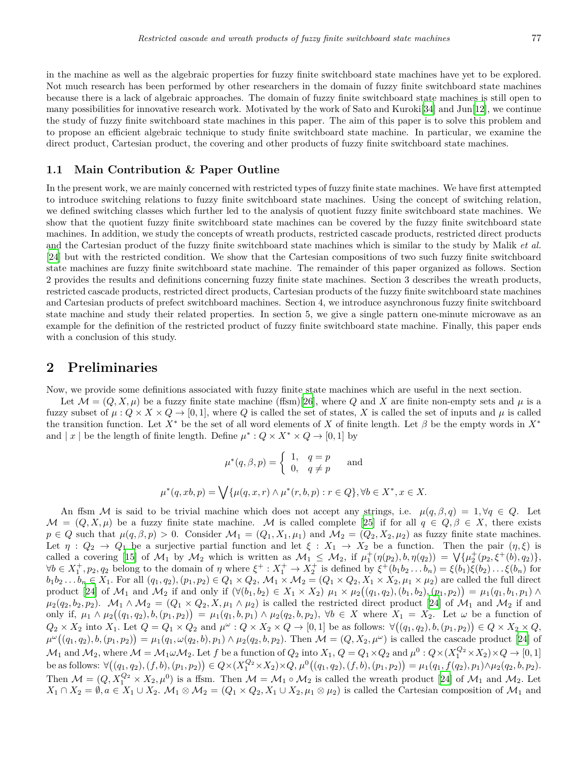in the machine as well as the algebraic properties for fuzzy finite switchboard state machines have yet to be explored. Not much research has been performed by other researchers in the domain of fuzzy finite switchboard state machines because there is a lack of algebraic approaches. The domain of fuzzy finite switchboard state machines is still open to many possibilities for innovative research work. Motivated by the work of Sato and Kuroki[\[34](#page-13-12)] and Jun[[12\]](#page-12-19), we continue the study of fuzzy finite switchboard state machines in this paper. The aim of this paper is to solve this problem and to propose an efficient algebraic technique to study finite switchboard state machine. In particular, we examine the direct product, Cartesian product, the covering and other products of fuzzy finite switchboard state machines.

#### **1.1 Main Contribution & Paper Outline**

In the present work, we are mainly concerned with restricted types of fuzzy finite state machines. We have first attempted to introduce switching relations to fuzzy finite switchboard state machines. Using the concept of switching relation, we defined switching classes which further led to the analysis of quotient fuzzy finite switchboard state machines. We show that the quotient fuzzy finite switchboard state machines can be covered by the fuzzy finite switchboard state machines. In addition, we study the concepts of wreath products, restricted cascade products, restricted direct products and the Cartesian product of the fuzzy finite switchboard state machines which is similar to the study by Malik *et al.* [[24\]](#page-12-3) but with the restricted condition. We show that the Cartesian compositions of two such fuzzy finite switchboard state machines are fuzzy finite switchboard state machine. The remainder of this paper organized as follows. Section 2 provides the results and definitions concerning fuzzy finite state machines. Section 3 describes the wreath products, restricted cascade products, restricted direct products, Cartesian products of the fuzzy finite switchboard state machines and Cartesian products of prefect switchboard machines. Section 4, we introduce asynchronous fuzzy finite switchboard state machine and study their related properties. In section 5, we give a single pattern one-minute microwave as an example for the definition of the restricted product of fuzzy finite switchboard state machine. Finally, this paper ends with a conclusion of this study.

#### **2 Preliminaries**

Now, we provide some definitions associated with fuzzy finite state machines which are useful in the next section.

Let  $\mathcal{M} = (Q, X, \mu)$  be a fuzzy finite state machine (ffsm)[[26\]](#page-13-13), where Q and X are finite non-empty sets and  $\mu$  is a fuzzy subset of  $\mu: Q \times X \times Q \rightarrow [0,1]$ , where *Q* is called the set of states, *X* is called the set of inputs and  $\mu$  is called the transition function. Let  $X^*$  be the set of all word elements of X of finite length. Let  $\beta$  be the empty words in  $X^*$ and  $|x|$  be the length of finite length. Define  $\mu^* : Q \times X^* \times Q \to [0,1]$  by

$$
\mu^*(q, \beta, p) = \begin{cases} 1, & q = p \\ 0, & q \neq p \end{cases}
$$
 and  

$$
\mu^*(q, xb, p) = \bigvee \{ \mu(q, x, r) \land \mu^*(r, b, p) : r \in Q \}, \forall b \in X^*, x \in X.
$$

An ffsm *M* is said to be trivial machine which does not accept any strings, i.e.  $\mu(q, \beta, q) = 1, \forall q \in Q$ . Let  $M = (Q, X, \mu)$  be a fuzzy finite state machine. M is called complete [\[25](#page-12-22)] if for all  $q \in Q, \beta \in X$ , there exists  $p \in Q$  such that  $\mu(q, \beta, p) > 0$ . Consider  $\mathcal{M}_1 = (Q_1, X_1, \mu_1)$  and  $\mathcal{M}_2 = (Q_2, X_2, \mu_2)$  as fuzzy finite state machines. Let  $\eta$  :  $Q_2 \rightarrow Q_1$  be a surjective partial function and let  $\xi$  :  $X_1 \rightarrow X_2$  be a function. Then the pair  $(\eta, \xi)$  is called a covering [\[15](#page-12-4)] of  $\mathcal{M}_1$  by  $\mathcal{M}_2$  which is written as  $\mathcal{M}_1 \leq \mathcal{M}_2$ , if  $\mu_1^+(\eta(p_2), b, \eta(q_2)) = \bigvee \{\mu_2^+(p_2, \xi^+(b), q_2)\},\$  $\forall b \in X_1^+, p_2, q_2$  belong to the domain of  $\eta$  where  $\xi^+ : X_1^+ \to X_2^+$  is defined by  $\xi^+(b_1b_2...b_n) = \xi(b_1)\xi(b_2)... \xi(b_n)$  for  $b_1b_2...b_n \in X_1$ . For all  $(q_1,q_2),(p_1,p_2) \in Q_1 \times Q_2$ ,  $\mathcal{M}_1 \times \mathcal{M}_2 = (Q_1 \times Q_2, X_1 \times X_2, \mu_1 \times \mu_2)$  are called the full direct product [\[24](#page-12-3)] of  $M_1$  and  $M_2$  if and only if  $(\forall (b_1, b_2) \in X_1 \times X_2)$   $\mu_1 \times \mu_2((q_1, q_2), (b_1, b_2), (p_1, p_2)) = \mu_1(q_1, b_1, p_1) \wedge$  $\mu_2(q_2, b_2, p_2)$ .  $\mathcal{M}_1 \wedge \mathcal{M}_2 = (Q_1 \times Q_2, X, \mu_1 \wedge \mu_2)$  is called the restricted direct product [\[24](#page-12-3)] of  $\mathcal{M}_1$  and  $\mathcal{M}_2$  if and only if,  $\mu_1 \wedge \mu_2((q_1, q_2), b, (p_1, p_2)) = \mu_1(q_1, b, p_1) \wedge \mu_2(q_2, b, p_2), \forall b \in X$  where  $X_1 = X_2$ . Let  $\omega$  be a function of  $Q_2 \times X_2$  into  $X_1$ . Let  $Q = Q_1 \times Q_2$  and  $\mu^{\omega}: Q \times X_2 \times Q \to [0,1]$  be as follows:  $\forall ((q_1, q_2), b, (p_1, p_2)) \in Q \times X_2 \times Q$ ,  $\mu^{\omega}((q_1, q_2), b, (p_1, p_2)) = \mu_1(q_1, \omega(q_2, b), p_1) \wedge \mu_2(q_2, b, p_2)$ . Then  $\mathcal{M} = (Q, X_2, \mu^{\omega})$  is called the cascade product [[24](#page-12-3)] of  $\mathcal{M}_1$  and  $\mathcal{M}_2$ , where  $\mathcal{M} = \mathcal{M}_1 \omega \mathcal{M}_2$ . Let  $f$  be a function of  $Q_2$  into  $X_1, Q = Q_1 \times Q_2$  and  $\mu^0: Q \times (X_1^{Q_2} \times X_2) \times Q \to [0,1]$ be as follows:  $\forall ((q_1, q_2), (f, b), (p_1, p_2)) \in Q \times (X_1^{Q_2} \times X_2) \times Q, \mu^0((q_1, q_2), (f, b), (p_1, p_2)) = \mu_1(q_1, f(q_2), p_1) \wedge \mu_2(q_2, b, p_2).$ Then  $\mathcal{M} = (Q, X_1^{Q_2} \times X_2, \mu^0)$  is a ffsm. Then  $\mathcal{M} = \mathcal{M}_1 \circ \mathcal{M}_2$  is called the wreath product [[24\]](#page-12-3) of  $\mathcal{M}_1$  and  $\mathcal{M}_2$ . Let  $X_1 \cap X_2 = \emptyset$ ,  $a \in X_1 \cup X_2$ .  $\mathcal{M}_1 \otimes \mathcal{M}_2 = (Q_1 \times Q_2, X_1 \cup X_2, \mu_1 \otimes \mu_2)$  is called the Cartesian composition of  $\mathcal{M}_1$  and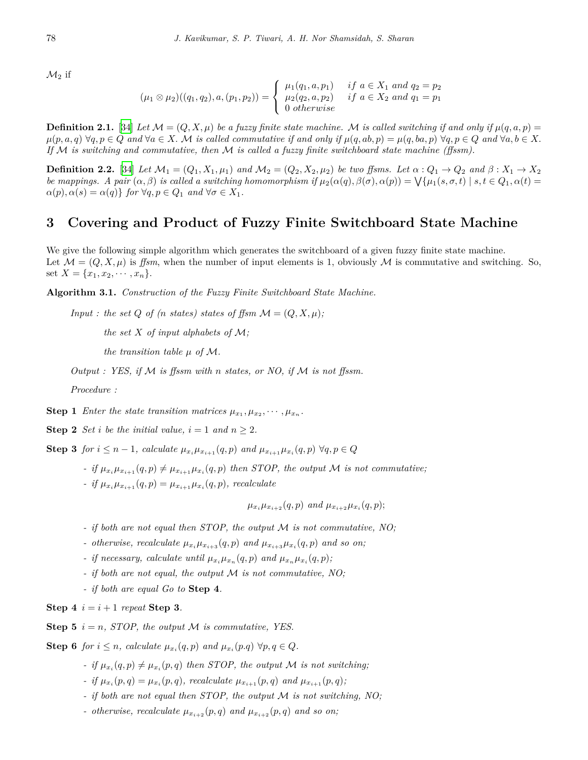$\mathcal{M}_2$  if

$$
(\mu_1 \otimes \mu_2)((q_1, q_2), a, (p_1, p_2)) = \begin{cases} \mu_1(q_1, a, p_1) & \text{if } a \in X_1 \text{ and } q_2 = p_2 \\ \mu_2(q_2, a, p_2) & \text{if } a \in X_2 \text{ and } q_1 = p_1 \\ 0 \text{ otherwise} \end{cases}
$$

<span id="page-3-0"></span>**Definition 2.1.** [\[34](#page-13-12)] Let  $\mathcal{M} = (Q, X, \mu)$  be a fuzzy finite state machine. M is called switching if and only if  $\mu(q, a, p) =$  $\mu(p, a, q)$   $\forall q, p \in Q$  and  $\forall a \in X$ . M is called commutative if and only if  $\mu(q, ab, p) = \mu(q, ba, p)$   $\forall q, p \in Q$  and  $\forall a, b \in X$ . *If M is switching and commutative, then M is called a fuzzy finite switchboard state machine (ffssm).*

**Definition 2.2.** [\[34](#page-13-12)] Let  $M_1 = (Q_1, X_1, \mu_1)$  and  $M_2 = (Q_2, X_2, \mu_2)$  be two ffsms. Let  $\alpha: Q_1 \to Q_2$  and  $\beta: X_1 \to X_2$ be mappings. A pair  $(\alpha, \beta)$  is called a switching homomorphism if  $\mu_2(\alpha(q), \beta(\sigma), \alpha(p)) = \bigvee \{ \mu_1(s, \sigma, t) \mid s, t \in Q_1, \alpha(t) =$  $\alpha(p), \alpha(s) = \alpha(q)$ *} for*  $\forall q, p \in Q_1$  *and*  $\forall \sigma \in X_1$ *.* 

#### **3 Covering and Product of Fuzzy Finite Switchboard State Machine**

We give the following simple algorithm which generates the switchboard of a given fuzzy finite state machine. Let  $\mathcal{M} = (Q, X, \mu)$  is *ffsm*, when the number of input elements is 1, obviously  $\mathcal{M}$  is commutative and switching. So, set  $X = \{x_1, x_2, \dots, x_n\}.$ 

**Algorithm 3.1.** *Construction of the Fuzzy Finite Switchboard State Machine.*

*Input : the set Q of* (*n states) states of ffsm*  $\mathcal{M} = (Q, X, \mu)$ ;

*the set X of input alphabets of M;*

*the transition table*  $\mu$  *of*  $\mathcal{M}$ *.* 

*Output : YES, if M is ffssm with n states, or NO, if M is not ffssm.*

*Procedure :*

**Step 1** *Enter the state transition matrices*  $\mu_{x_1}, \mu_{x_2}, \dots, \mu_{x_n}$ .

**Step 2** *Set i be the initial value,*  $i = 1$  *and*  $n \geq 2$ *.* 

**Step 3** for  $i \leq n-1$ , calculate  $\mu_{x_i}\mu_{x_{i+1}}(q,p)$  and  $\mu_{x_{i+1}}\mu_{x_i}(q,p) \,\forall q, p \in Q$ 

- *-* if  $\mu_{x_i}\mu_{x_{i+1}}(q,p) \neq \mu_{x_{i+1}}\mu_{x_i}(q,p)$  then STOP, the output M is not commutative;
- *- if*  $\mu_{x_i} \mu_{x_{i+1}}(q, p) = \mu_{x_{i+1}} \mu_{x_i}(q, p)$ , recalculate

$$
\mu_{x_i}\mu_{x_{i+2}}(q,p)
$$
 and  $\mu_{x_{i+2}}\mu_{x_i}(q,p);$ 

- *- if both are not equal then STOP, the output M is not commutative, NO;*
- *- otherwise, recalculate*  $\mu_{x_i}\mu_{x_{i+3}}(q,p)$  *and*  $\mu_{x_{i+3}}\mu_{x_i}(q,p)$  *and so on;*
- *- if necessary, calculate until*  $\mu_{x_i}\mu_{x_n}(q, p)$  and  $\mu_{x_n}\mu_{x_i}(q, p)$ ;
- *- if both are not equal, the output M is not commutative, NO;*
- *- if both are equal Go to* **Step 4***.*

**Step 4**  $i = i + 1$  *repeat* **Step 3***.* 

**Step 5**  $i = n$ , *STOP*, the output *M* is commutative, *YES*.

**Step 6** *for*  $i \leq n$ *, calculate*  $\mu_{x_i}(q, p)$  *and*  $\mu_{x_i}(p, q) \forall p, q \in Q$ *.* 

- *- if*  $\mu_{x_i}(q, p) \neq \mu_{x_i}(p, q)$  then STOP, the output *M is not switching*;
- *- if*  $\mu_{x_i}(p,q) = \mu_{x_i}(p,q)$ *, recalculate*  $\mu_{x_{i+1}}(p,q)$  *and*  $\mu_{x_{i+1}}(p,q)$ *;*
- *- if both are not equal then STOP, the output M is not switching, NO;*
- *- otherwise, recalculate*  $\mu_{x_{i+2}}(p,q)$  *and*  $\mu_{x_{i+2}}(p,q)$  *and so on;*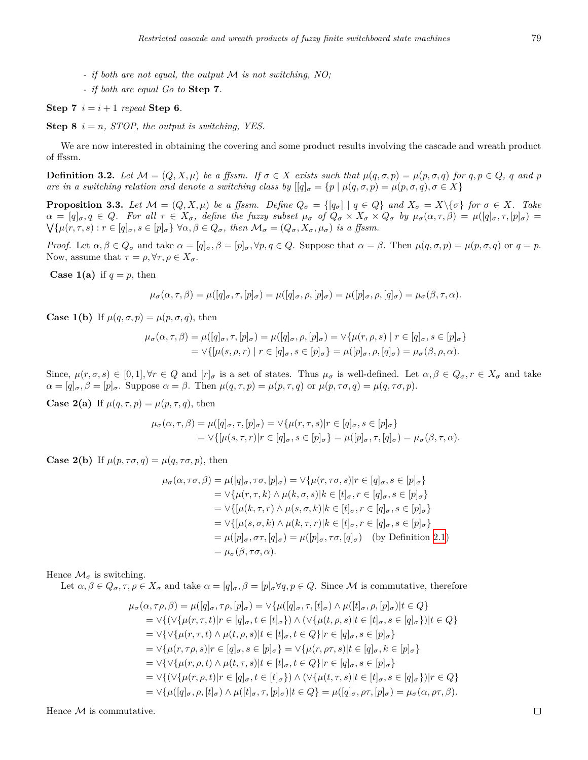- *- if both are not equal, the output M is not switching, NO;*
- *- if both are equal Go to* **Step 7***.*

#### **Step 7**  $i = i + 1$  *repeat* **Step 6***.*

**Step 8**  $i = n$ , *STOP*, the output is switching, YES.

We are now interested in obtaining the covering and some product results involving the cascade and wreath product of ffssm.

**Definition 3.2.** Let  $M = (Q, X, \mu)$  be a ffssm. If  $\sigma \in X$  exists such that  $\mu(q, \sigma, p) = \mu(p, \sigma, q)$  for  $q, p \in Q$ , q and p *are in a switching relation and denote a switching class by*  $[[q]_{\sigma} = \{p \mid \mu(q, \sigma, p) = \mu(p, \sigma, q), \sigma \in X\}$ 

**Proposition 3.3.** Let  $M = (Q, X, \mu)$  be a ffssm. Define  $Q_{\sigma} = \{ [q_{\sigma}] | q \in Q \}$  and  $X_{\sigma} = X \setminus \{\sigma\}$  for  $\sigma \in X$ . Take  $\alpha = [q]_{\sigma}, q \in Q$ . For all  $\tau \in X_{\sigma}$ , define the fuzzy subset  $\mu_{\sigma}$  of  $Q_{\sigma} \times X_{\sigma} \times Q_{\sigma}$  by  $\mu_{\sigma}(\alpha, \tau, \beta) = \mu([q]_{\sigma}, \tau, [p]_{\sigma}) =$  $\bigvee \{\mu(r,\tau,s): r \in [q]_\sigma, s \in [p]_\sigma\} \forall \alpha, \beta \in Q_\sigma$ , then  $\mathcal{M}_\sigma = (Q_\sigma, X_\sigma, \mu_\sigma)$  is a ffssm.

*Proof.* Let  $\alpha, \beta \in Q_{\sigma}$  and take  $\alpha = [q]_{\sigma}, \beta = [p]_{\sigma}, \forall p, q \in Q$ . Suppose that  $\alpha = \beta$ . Then  $\mu(q, \sigma, p) = \mu(p, \sigma, q)$  or  $q = p$ . Now, assume that  $\tau = \rho, \forall \tau, \rho \in X_{\sigma}$ .

**Case 1(a)** if  $q = p$ , then

$$
\mu_{\sigma}(\alpha, \tau, \beta) = \mu([q]_{\sigma}, \tau, [p]_{\sigma}) = \mu([q]_{\sigma}, \rho, [p]_{\sigma}) = \mu([p]_{\sigma}, \rho, [q]_{\sigma}) = \mu_{\sigma}(\beta, \tau, \alpha).
$$

**Case 1(b)** If  $\mu(q, \sigma, p) = \mu(p, \sigma, q)$ , then

$$
\mu_{\sigma}(\alpha, \tau, \beta) = \mu([q]_{\sigma}, \tau, [p]_{\sigma}) = \mu([q]_{\sigma}, \rho, [p]_{\sigma}) = \vee \{\mu(r, \rho, s) \mid r \in [q]_{\sigma}, s \in [p]_{\sigma}\} \n= \vee \{[\mu(s, \rho, r) \mid r \in [q]_{\sigma}, s \in [p]_{\sigma}\} = \mu([p]_{\sigma}, \rho, [q]_{\sigma}) = \mu_{\sigma}(\beta, \rho, \alpha).
$$

Since,  $\mu(r,\sigma,s) \in [0,1], \forall r \in Q$  and  $[r]_{\sigma}$  is a set of states. Thus  $\mu_{\sigma}$  is well-defined. Let  $\alpha, \beta \in Q_{\sigma}, r \in X_{\sigma}$  and take  $\alpha = [q]_{\sigma}, \beta = [p]_{\sigma}$ . Suppose  $\alpha = \beta$ . Then  $\mu(q, \tau, p) = \mu(p, \tau, q)$  or  $\mu(p, \tau \sigma, q) = \mu(q, \tau \sigma, p)$ .

**Case 2(a)** If  $\mu(q, \tau, p) = \mu(p, \tau, q)$ , then

$$
\mu_{\sigma}(\alpha, \tau, \beta) = \mu([q]_{\sigma}, \tau, [p]_{\sigma}) = \vee \{ \mu(r, \tau, s) | r \in [q]_{\sigma}, s \in [p]_{\sigma} \}
$$
  
=  $\vee \{ [\mu(s, \tau, r) | r \in [q]_{\sigma}, s \in [p]_{\sigma} \} = \mu([p]_{\sigma}, \tau, [q]_{\sigma}) = \mu_{\sigma}(\beta, \tau, \alpha).$ 

**Case 2(b)** If  $\mu(p, \tau\sigma, q) = \mu(q, \tau\sigma, p)$ , then

$$
\mu_{\sigma}(\alpha, \tau\sigma, \beta) = \mu([q]_{\sigma}, \tau\sigma, [p]_{\sigma}) = \vee \{\mu(r, \tau\sigma, s)|r \in [q]_{\sigma}, s \in [p]_{\sigma}\}\
$$

$$
= \vee \{\mu(r, \tau, k) \wedge \mu(k, \sigma, s)|k \in [t]_{\sigma}, r \in [q]_{\sigma}, s \in [p]_{\sigma}\}\
$$

$$
= \vee \{[\mu(k, \tau, r) \wedge \mu(s, \sigma, k)|k \in [t]_{\sigma}, r \in [q]_{\sigma}, s \in [p]_{\sigma}\}\
$$

$$
= \vee \{[\mu(s, \sigma, k) \wedge \mu(k, \tau, r)|k \in [t]_{\sigma}, r \in [q]_{\sigma}, s \in [p]_{\sigma}\}\
$$

$$
= \mu([p]_{\sigma}, \sigma\tau, [q]_{\sigma}) = \mu([p]_{\sigma}, \tau\sigma, [q]_{\sigma}) \quad \text{(by Definition 2.1)}
$$

$$
= \mu_{\sigma}(\beta, \tau\sigma, \alpha).
$$

Hence  $\mathcal{M}_{\sigma}$  is switching.

Let  $\alpha, \beta \in Q_{\sigma}, \tau, \rho \in X_{\sigma}$  and take  $\alpha = [q]_{\sigma}, \beta = [p]_{\sigma} \forall q, p \in Q$ . Since M is commutative, therefore

$$
\mu_{\sigma}(\alpha, \tau \rho, \beta) = \mu([q]_{\sigma}, \tau \rho, [p]_{\sigma}) = \vee \{\mu([q]_{\sigma}, \tau, [t]_{\sigma}) \wedge \mu([t]_{\sigma}, \rho, [p]_{\sigma}) | t \in Q\} \n= \vee \{(\vee \{\mu(r, \tau, t) | r \in [q]_{\sigma}, t \in [t]_{\sigma}\}) \wedge (\vee \{\mu(t, \rho, s) | t \in [t]_{\sigma}, s \in [q]_{\sigma}\}) | t \in Q\} \n= \vee \{\vee \{\mu(r, \tau, t) \wedge \mu(t, \rho, s) | t \in [t]_{\sigma}, t \in Q\} | r \in [q]_{\sigma}, s \in [p]_{\sigma}\} \n= \vee \{\mu(r, \tau \rho, s) | r \in [q]_{\sigma}, s \in [p]_{\sigma}\} = \vee \{\mu(r, \rho \tau, s) | t \in [q]_{\sigma}, k \in [p]_{\sigma}\} \n= \vee \{\vee \{\mu(r, \rho, t) \wedge \mu(t, \tau, s) | t \in [t]_{\sigma}, t \in Q\} | r \in [q]_{\sigma}, s \in [p]_{\sigma}\} \n= \vee \{(\vee \{\mu(r, \rho, t) | r \in [q]_{\sigma}, t \in [t]_{\sigma}\}) \wedge (\vee \{\mu(t, \tau, s) | t \in [t]_{\sigma}, s \in [q]_{\sigma}\}) | r \in Q\} \n= \vee \{\mu([q]_{\sigma}, \rho, [t]_{\sigma}) \wedge \mu([t]_{\sigma}, \tau, [p]_{\sigma}) | t \in Q\} = \mu([q]_{\sigma}, \rho \tau, [p]_{\sigma}) = \mu_{\sigma}(\alpha, \rho \tau, \beta).
$$

Hence *M* is commutative.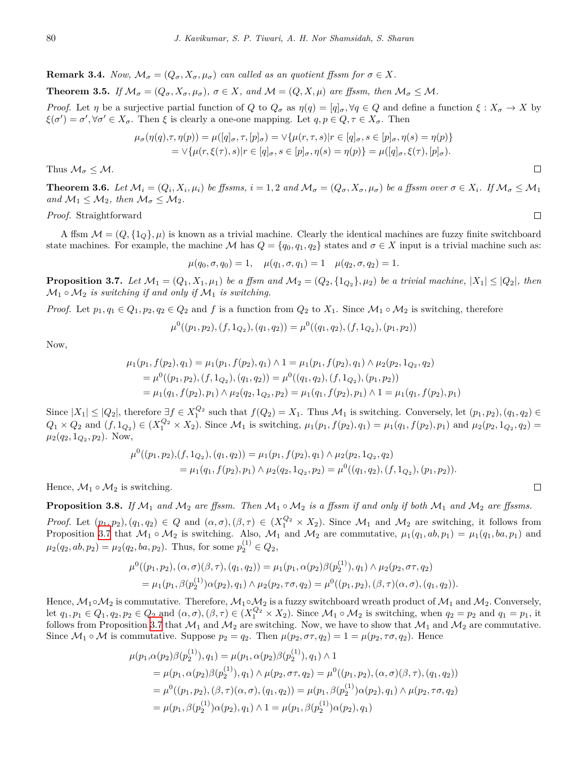**Remark 3.4.** *Now,*  $\mathcal{M}_{\sigma} = (Q_{\sigma}, X_{\sigma}, \mu_{\sigma})$  *can called as an quotient ffssm for*  $\sigma \in X$ *.* 

**Theorem 3.5.** If  $\mathcal{M}_{\sigma} = (Q_{\sigma}, X_{\sigma}, \mu_{\sigma}), \sigma \in X$ , and  $\mathcal{M} = (Q, X, \mu)$  are ffssm, then  $\mathcal{M}_{\sigma} \leq \mathcal{M}$ .

*Proof.* Let  $\eta$  be a surjective partial function of Q to  $Q_{\sigma}$  as  $\eta(q) = [q]_{\sigma}$ ,  $\forall q \in Q$  and define a function  $\xi : X_{\sigma} \to X$  by  $\xi(\sigma') = \sigma'$ ,  $\forall \sigma' \in X_{\sigma}$ . Then  $\xi$  is clearly a one-one mapping. Let  $q, p \in Q, \tau \in X_{\sigma}$ . Then

$$
\mu_{\sigma}(\eta(q), \tau, \eta(p)) = \mu([q]_{\sigma}, \tau, [p]_{\sigma}) = \vee \{\mu(r, \tau, s)|r \in [q]_{\sigma}, s \in [p]_{\sigma}, \eta(s) = \eta(p)\}
$$

$$
= \vee \{\mu(r, \xi(\tau), s)|r \in [q]_{\sigma}, s \in [p]_{\sigma}, \eta(s) = \eta(p)\} = \mu([q]_{\sigma}, \xi(\tau), [p]_{\sigma}).
$$

Thus  $\mathcal{M}_{\sigma} \leq \mathcal{M}$ .

**Theorem 3.6.** Let  $\mathcal{M}_i = (Q_i, X_i, \mu_i)$  be ffssms,  $i = 1, 2$  and  $\mathcal{M}_{\sigma} = (Q_{\sigma}, X_{\sigma}, \mu_{\sigma})$  be a ffssm over  $\sigma \in X_i$ . If  $\mathcal{M}_{\sigma} \leq \mathcal{M}_1$ *and*  $M_1 \leq M_2$ *, then*  $M_\sigma \leq M_2$ *.* 

*Proof.* Straightforward

A ffsm  $M = (Q, \{1_Q\}, \mu)$  is known as a trivial machine. Clearly the identical machines are fuzzy finite switchboard state machines. For example, the machine *M* has  $Q = \{q_0, q_1, q_2\}$  states and  $\sigma \in X$  input is a trivial machine such as:

 $\mu(q_0, \sigma, q_0) = 1, \quad \mu(q_1, \sigma, q_1) = 1 \quad \mu(q_2, \sigma, q_2) = 1.$ 

<span id="page-5-0"></span>**Proposition 3.7.** Let  $M_1 = (Q_1, X_1, \mu_1)$  be a ffsm and  $M_2 = (Q_2, \{1_{Q_2}\}, \mu_2)$  be a trivial machine,  $|X_1| \leq |Q_2|$ , then  $\mathcal{M}_1 \circ \mathcal{M}_2$  *is switching if and only if*  $\mathcal{M}_1$  *is switching.* 

*Proof.* Let  $p_1, q_1 \in Q_1, p_2, q_2 \in Q_2$  and  $f$  is a function from  $Q_2$  to  $X_1$ . Since  $\mathcal{M}_1 \circ \mathcal{M}_2$  is switching, therefore

$$
\mu^{0}((p_{1},p_{2}),(f,1_{Q_{2}}),(q_{1},q_{2})) = \mu^{0}((q_{1},q_{2}),(f,1_{Q_{2}}),(p_{1},p_{2}))
$$

Now,

$$
\mu_1(p_1, f(p_2), q_1) = \mu_1(p_1, f(p_2), q_1) \land 1 = \mu_1(p_1, f(p_2), q_1) \land \mu_2(p_2, 1_{Q_2}, q_2)
$$
  
= 
$$
\mu^0((p_1, p_2), (f, 1_{Q_2}), (q_1, q_2)) = \mu^0((q_1, q_2), (f, 1_{Q_2}), (p_1, p_2))
$$
  
= 
$$
\mu_1(q_1, f(p_2), p_1) \land \mu_2(q_2, 1_{Q_2}, p_2) = \mu_1(q_1, f(p_2), p_1) \land 1 = \mu_1(q_1, f(p_2), p_1)
$$

Since  $|X_1| \leq |Q_2|$ , therefore  $\exists f \in X_1^{Q_2}$  such that  $f(Q_2) = X_1$ . Thus  $\mathcal{M}_1$  is switching. Conversely, let  $(p_1, p_2), (q_1, q_2) \in$  $Q_1 \times Q_2$  and  $(f, 1_{Q_2}) \in (X_1^{Q_2} \times X_2)$ . Since  $\mathcal{M}_1$  is switching,  $\mu_1(p_1, f(p_2), q_1) = \mu_1(q_1, f(p_2), p_1)$  and  $\mu_2(p_2, 1_{Q_2}, q_2) =$  $\mu_2(q_2, 1_{Q_2}, p_2)$ . Now,

$$
\mu^{0}((p_{1},p_{2}),(f,1_{Q_{2}}),(q_{1},q_{2})) = \mu_{1}(p_{1},f(p_{2}),q_{1}) \wedge \mu_{2}(p_{2},1_{Q_{2}},q_{2})
$$
  
= 
$$
\mu_{1}(q_{1},f(p_{2}),p_{1}) \wedge \mu_{2}(q_{2},1_{Q_{2}},p_{2}) = \mu^{0}((q_{1},q_{2}),(f,1_{Q_{2}}),(p_{1},p_{2})).
$$

Hence,  $\mathcal{M}_1 \circ \mathcal{M}_2$  is switching.

<span id="page-5-1"></span>**Proposition 3.8.** *If*  $M_1$  *and*  $M_2$  *are ffssm. Then*  $M_1 \circ M_2$  *is a ffssm if and only if both*  $M_1$  *and*  $M_2$  *are ffssms.* 

*Proof.* Let  $(p_1, p_2), (q_1, q_2) \in Q$  and  $(\alpha, \sigma), (\beta, \tau) \in (X_1^{Q_2} \times X_2)$ . Since  $\mathcal{M}_1$  and  $\mathcal{M}_2$  are switching, it follows from Proposition [3.7](#page-5-0) that  $M_1 \circ M_2$  is switching. Also,  $M_1$  and  $M_2$  are commutative,  $\mu_1(q_1, ab, p_1) = \mu_1(q_1, ba, p_1)$  and  $\mu_2(q_2, ab, p_2) = \mu_2(q_2, ba, p_2)$ . Thus, for some  $p_2^{(1)} \in Q_2$ ,

$$
\mu^{0}((p_{1},p_{2}), (\alpha, \sigma)(\beta, \tau), (q_{1},q_{2})) = \mu_{1}(p_{1}, \alpha(p_{2})\beta(p_{2}^{(1)}), q_{1}) \wedge \mu_{2}(p_{2}, \sigma\tau, q_{2})
$$
  
= 
$$
\mu_{1}(p_{1}, \beta(p_{2}^{(1)})\alpha(p_{2}), q_{1}) \wedge \mu_{2}(p_{2}, \tau\sigma, q_{2}) = \mu^{0}((p_{1},p_{2}), (\beta, \tau)(\alpha, \sigma), (q_{1},q_{2})).
$$

Hence,  $M_1 \circ M_2$  is commutative. Therefore,  $M_1 \circ M_2$  is a fuzzy switchboard wreath product of  $M_1$  and  $M_2$ . Conversely, let  $q_1, p_1 \in Q_1, q_2, p_2 \in Q_2$  and  $(\alpha, \sigma), (\beta, \tau) \in (X_1^{Q_2} \times X_2)$ . Since  $\mathcal{M}_1 \circ \mathcal{M}_2$  is switching, when  $q_2 = p_2$  and  $q_1 = p_1$ , it follows from Proposition [3.7](#page-5-0) that  $\mathcal{M}_1$  and  $\mathcal{M}_2$  are switching. Now, we have to show that  $\mathcal{M}_1$  and  $\mathcal{M}_2$  are commutative. Since  $\mathcal{M}_1 \circ \mathcal{M}$  is commutative. Suppose  $p_2 = q_2$ . Then  $\mu(p_2, \sigma \tau, q_2) = 1 = \mu(p_2, \tau \sigma, q_2)$ . Hence

$$
\mu(p_1, \alpha(p_2)\beta(p_2^{(1)}), q_1) = \mu(p_1, \alpha(p_2)\beta(p_2^{(1)}), q_1) \wedge 1
$$
  
=  $\mu(p_1, \alpha(p_2)\beta(p_2^{(1)}), q_1) \wedge \mu(p_2, \sigma\tau, q_2) = \mu^0((p_1, p_2), (\alpha, \sigma)(\beta, \tau), (q_1, q_2))$   
=  $\mu^0((p_1, p_2), (\beta, \tau)(\alpha, \sigma), (q_1, q_2)) = \mu(p_1, \beta(p_2^{(1)})\alpha(p_2), q_1) \wedge \mu(p_2, \tau\sigma, q_2)$   
=  $\mu(p_1, \beta(p_2^{(1)})\alpha(p_2), q_1) \wedge 1 = \mu(p_1, \beta(p_2^{(1)})\alpha(p_2), q_1)$ 

 $\Box$ 

 $\Box$ 

 $\Box$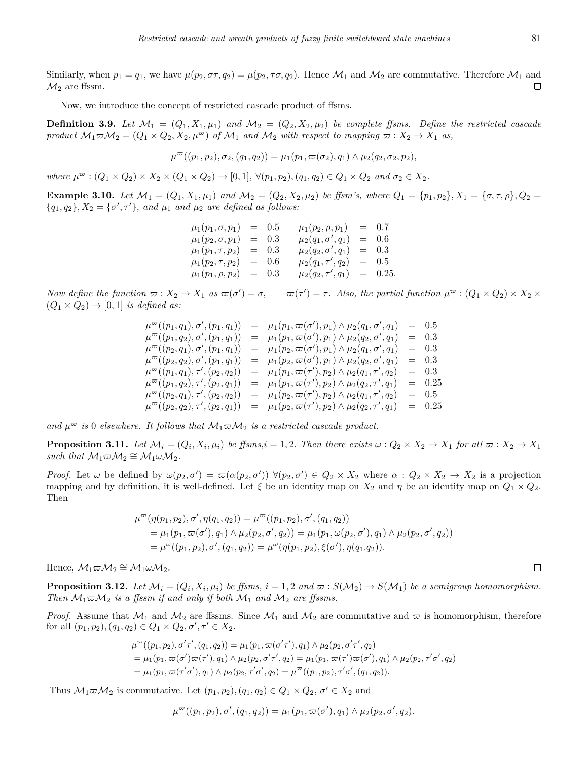Similarly, when  $p_1 = q_1$ , we have  $\mu(p_2, \sigma \tau, q_2) = \mu(p_2, \tau \sigma, q_2)$ . Hence  $\mathcal{M}_1$  and  $\mathcal{M}_2$  are commutative. Therefore  $\mathcal{M}_1$  and  $\mathcal{M}_2$  are ffssm.  $\Box$ 

Now, we introduce the concept of restricted cascade product of ffsms.

**Definition 3.9.** Let  $\mathcal{M}_1 = (Q_1, X_1, \mu_1)$  and  $\mathcal{M}_2 = (Q_2, X_2, \mu_2)$  be complete ffsms. Define the restricted cascade product  $M_1 \varpi M_2 = (Q_1 \times Q_2, X_2, \mu^{\varpi})$  of  $M_1$  and  $M_2$  with respect to mapping  $\varpi : X_2 \to X_1$  as,

$$
\mu^{\varpi}((p_1, p_2), \sigma_2, (q_1, q_2)) = \mu_1(p_1, \varpi(\sigma_2), q_1) \wedge \mu_2(q_2, \sigma_2, p_2),
$$

where  $\mu^{\varpi}$  :  $(Q_1 \times Q_2) \times X_2 \times (Q_1 \times Q_2) \rightarrow [0,1], \forall (p_1, p_2), (q_1, q_2) \in Q_1 \times Q_2$  and  $\sigma_2 \in X_2$ .

**Example 3.10.** Let  $M_1 = (Q_1, X_1, \mu_1)$  and  $M_2 = (Q_2, X_2, \mu_2)$  be ffsm's, where  $Q_1 = \{p_1, p_2\}, X_1 = \{\sigma, \tau, \rho\}, Q_2 =$  ${q_1, q_2}, X_2 = {\sigma', \tau'}$ , and  $\mu_1$  and  $\mu_2$  are defined as follows:

> $\mu_1(p_1, \sigma, p_1) = 0.5 \qquad \mu_1(p_2, \rho, p_1) = 0.7$  $\mu_1(p_2, \sigma, p_1) = 0.3$   $\mu_2(q_1, \sigma', q_1) = 0.6$  $\mu_1(p_1, \tau, p_2)$  = 0.3  $\mu_2(q_2, \sigma', q_1)$  = 0.3  $\mu_1(p_2, \tau, p_2)$  = 0.6  $\mu_2(q_1, \tau', q_2)$  = 0.5  $\mu_1(p_1, \rho, p_2) = 0.3$   $\mu_2(q_2, \tau', q_1) = 0.25.$

Now define the function  $\varpi : X_2 \to X_1$  as  $\varpi(\sigma') = \sigma$ ,  $\varpi(\tau') = \tau$ . Also, the partial function  $\mu^{\varpi} : (Q_1 \times Q_2) \times X_2 \times \sigma$  $(Q_1 \times Q_2) \rightarrow [0, 1]$  *is defined as:* 

> $\mu^{\varpi}((p_1,q_1), \sigma',(p_1,q_1)) = \mu_1(p_1, \varpi(\sigma'), p_1) \wedge \mu_2(q_1, \sigma', q_1) = 0.5$  $\mu^{\varpi}((p_1, q_2), \sigma', (p_1, q_1)) = \mu_1(p_1, \varpi(\sigma'), p_1) \wedge \mu_2(q_2, \sigma', q_1) = 0.3$  $\mu^{\varpi}((p_2,q_1), \sigma',(p_1,q_1)) = \mu_1(p_2, \varpi(\sigma'), p_1) \wedge \mu_2(q_1, \sigma', q_1) = 0.3$  $\mu^{\varpi}((p_2, q_2), \sigma', (p_1, q_1)) = \mu_1(p_2, \varpi(\sigma'), p_1) \wedge \mu_2(q_2, \sigma')$  $= 0.3$  $\mu^{\varpi}((p_1, q_1), \tau', (p_2, q_2)) = \mu_1(p_1, \varpi(\tau'), p_2) \wedge \mu_2(q_1, \tau')$  $= 0.3$  $\mu^{\varpi}((p_1, q_2), \tau', (p_2, q_1)) = \mu_1(p_1, \varpi(\tau'), p_2) \wedge \mu_2(q_2, \tau')$  $= 0.25$  $\mu^{\varpi}((p_2,q_1), \tau',(p_2,q_2)) = \mu_1(p_2, \varpi(\tau'), p_2) \wedge \mu_2(q_1, \tau', q_2) = 0.5$  $\mu^{\varpi}((p_2, q_2), \tau', (p_2, q_1)) = \mu_1(p_2, \varpi(\tau'), p_2) \wedge \mu_2(q_2, \tau')$  $= 0.25$

and  $\mu^{\infty}$  *is* 0 *elsewhere.* It follows that  $\mathcal{M}_1 \varpi \mathcal{M}_2$  *is a restricted cascade product.* 

**Proposition 3.11.** Let  $\mathcal{M}_i = (Q_i, X_i, \mu_i)$  be ffsms,  $i = 1, 2$ . Then there exists  $\omega: Q_2 \times X_2 \to X_1$  for all  $\varpi: X_2 \to X_1$  $$ 

*Proof.* Let  $\omega$  be defined by  $\omega(p_2, \sigma') = \omega(\alpha(p_2, \sigma')) \ \forall (p_2, \sigma') \in Q_2 \times X_2$  where  $\alpha: Q_2 \times X_2 \to X_2$  is a projection mapping and by definition, it is well-defined. Let  $\xi$  be an identity map on  $X_2$  and  $\eta$  be an identity map on  $Q_1 \times Q_2$ . Then

$$
\mu^{\varpi}(\eta(p_1, p_2), \sigma', \eta(q_1, q_2)) = \mu^{\varpi}((p_1, p_2), \sigma', (q_1, q_2))
$$
  
=  $\mu_1(p_1, \varpi(\sigma'), q_1) \wedge \mu_2(p_2, \sigma', q_2)) = \mu_1(p_1, \omega(p_2, \sigma'), q_1) \wedge \mu_2(p_2, \sigma', q_2))$   
=  $\mu^{\omega}((p_1, p_2), \sigma', (q_1, q_2)) = \mu^{\omega}(\eta(p_1, p_2), \xi(\sigma'), \eta(q_1, q_2)).$ 

 $Hence, \mathcal{M}_1 \varpi \mathcal{M}_2 \cong \mathcal{M}_1 \omega \mathcal{M}_2.$ 

**Proposition 3.12.** Let  $\mathcal{M}_i = (Q_i, X_i, \mu_i)$  be ffsms,  $i = 1, 2$  and  $\varpi : S(\mathcal{M}_2) \to S(\mathcal{M}_1)$  be a semigroup homomorphism. *Then*  $M_1 \varpi M_2$  *is a ffssm if and only if both*  $M_1$  *and*  $M_2$  *are ffssms.* 

*Proof.* Assume that  $M_1$  and  $M_2$  are ffssms. Since  $M_1$  and  $M_2$  are commutative and  $\varpi$  is homomorphism, therefore for all  $(p_1, p_2), (q_1, q_2) \in Q_1 \times Q_2, \sigma', \tau' \in X_2$ .

$$
\mu^{\infty}((p_1, p_2), \sigma' \tau', (q_1, q_2)) = \mu_1(p_1, \pi(\sigma' \tau'), q_1) \wedge \mu_2(p_2, \sigma' \tau', q_2) \n= \mu_1(p_1, \pi(\sigma') \pi(\tau'), q_1) \wedge \mu_2(p_2, \sigma' \tau', q_2) = \mu_1(p_1, \pi(\tau') \pi(\sigma'), q_1) \wedge \mu_2(p_2, \tau' \sigma', q_2) \n= \mu_1(p_1, \pi(\tau' \sigma'), q_1) \wedge \mu_2(p_2, \tau' \sigma', q_2) = \mu^{\infty}((p_1, p_2), \tau' \sigma', (q_1, q_2)).
$$

Thus  $M_1 \varpi M_2$  is commutative. Let  $(p_1, p_2), (q_1, q_2) \in Q_1 \times Q_2, \sigma' \in X_2$  and

$$
\mu^{\varpi}((p_1, p_2), \sigma', (q_1, q_2)) = \mu_1(p_1, \varpi(\sigma'), q_1) \wedge \mu_2(p_2, \sigma', q_2).
$$

 $\Box$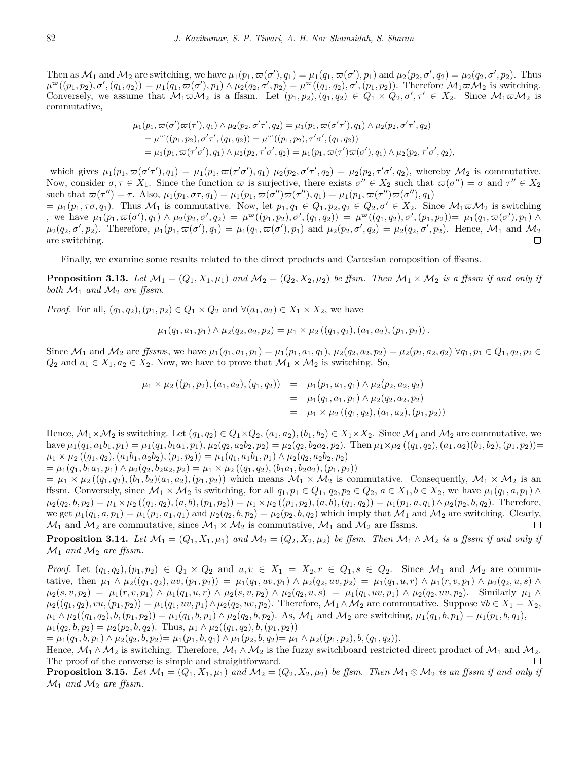Then as  $\mathcal{M}_1$  and  $\mathcal{M}_2$  are switching, we have  $\mu_1(p_1, \varpi(\sigma'), q_1) = \mu_1(q_1, \varpi(\sigma'), p_1)$  and  $\mu_2(p_2, \sigma', q_2) = \mu_2(q_2, \sigma', p_2)$ . Thus  $\mu^{\varpi}((p_1, p_2), \sigma', (q_1, q_2)) = \mu_1(q_1, \overline{\omega}(\sigma'), p_1) \wedge \mu_2(q_2, \sigma', p_2) = \mu^{\varpi}((q_1, q_2), \sigma', (p_1, p_2)).$  Therefore  $\mathcal{M}_1 \varpi \mathcal{M}_2$  is switching. Conversely, we assume that  $M_1\varpi M_2$  is a ffssm. Let  $(p_1,p_2),(q_1,q_2)\in Q_1\times Q_2,\sigma',\tau'\in X_2$ . Since  $M_1\varpi M_2$  is commutative,

$$
\mu_1(p_1, \varpi(\sigma')\varpi(\tau'), q_1) \wedge \mu_2(p_2, \sigma'\tau', q_2) = \mu_1(p_1, \varpi(\sigma'\tau'), q_1) \wedge \mu_2(p_2, \sigma'\tau', q_2) \n= \mu^{\varpi}((p_1, p_2), \sigma'\tau', (q_1, q_2)) = \mu^{\varpi}((p_1, p_2), \tau'\sigma', (q_1, q_2)) \n= \mu_1(p_1, \varpi(\tau'\sigma'), q_1) \wedge \mu_2(p_2, \tau'\sigma', q_2) = \mu_1(p_1, \varpi(\tau')\varpi(\sigma'), q_1) \wedge \mu_2(p_2, \tau'\sigma', q_2),
$$

which gives  $\mu_1(p_1, \varpi(\sigma'\tau'), q_1) = \mu_1(p_1, \varpi(\tau'\sigma'), q_1)$   $\mu_2(p_2, \sigma'\tau', q_2) = \mu_2(p_2, \tau'\sigma', q_2)$ , whereby  $\mathcal{M}_2$  is commutative. Now, consider  $\sigma, \tau \in X_1$ . Since the function  $\varpi$  is surjective, there exists  $\sigma'' \in X_2$  such that  $\varpi(\sigma'') = \sigma$  and  $\tau'' \in X_2$ such that  $\omega(\tau'') = \tau$ . Also,  $\mu_1(p_1, \sigma\tau, q_1) = \mu_1(p_1, \omega(\sigma'')\omega(\tau''), q_1) = \mu_1(p_1, \omega(\tau'')\omega(\sigma''), q_1)$ 

 $=\mu_1(p_1,\tau\sigma,q_1)$ . Thus  $\mathcal{M}_1$  is commutative. Now, let  $p_1,q_1\in Q_1, p_2,q_2\in Q_2, \sigma'\in X_2$ . Since  $\mathcal{M}_1\varpi\mathcal{M}_2$  is switching , we have  $\mu_1(p_1, \pi(\sigma'), q_1) \wedge \mu_2(p_2, \sigma', q_2) = \mu^{\pi}((p_1, p_2), \sigma', (q_1, q_2)) = \mu^{\pi}((q_1, q_2), \sigma', (p_1, p_2)) = \mu_1(q_1, \pi(\sigma'), p_1) \wedge$  $\mu_2(q_2, \sigma', p_2)$ . Therefore,  $\mu_1(p_1, \varpi(\sigma'), q_1) = \mu_1(q_1, \varpi(\sigma'), p_1)$  and  $\mu_2(p_2, \sigma', q_2) = \mu_2(q_2, \sigma', p_2)$ . Hence,  $\mathcal{M}_1$  and  $\mathcal{M}_2$ are switching.  $\Box$ 

Finally, we examine some results related to the direct products and Cartesian composition of ffssms.

**Proposition 3.13.** Let  $\mathcal{M}_1 = (Q_1, X_1, \mu_1)$  and  $\mathcal{M}_2 = (Q_2, X_2, \mu_2)$  be ffsm. Then  $\mathcal{M}_1 \times \mathcal{M}_2$  is a ffssm if and only if *both*  $\mathcal{M}_1$  *and*  $\mathcal{M}_2$  *are ffssm.* 

*Proof.* For all,  $(q_1, q_2)$ ,  $(p_1, p_2) \in Q_1 \times Q_2$  and  $\forall (a_1, a_2) \in X_1 \times X_2$ , we have

$$
\mu_1(q_1, a_1, p_1) \wedge \mu_2(q_2, a_2, p_2) = \mu_1 \times \mu_2((q_1, q_2), (a_1, a_2), (p_1, p_2)).
$$

Since  $\mathcal{M}_1$  and  $\mathcal{M}_2$  are ffssms, we have  $\mu_1(q_1, a_1, p_1) = \mu_1(p_1, a_1, q_1), \mu_2(q_2, a_2, p_2) = \mu_2(p_2, a_2, q_2) \,\forall q_1, p_1 \in Q_1, q_2, p_2 \in Q_1$ *Q*<sub>2</sub> and *a*<sub>1</sub> ∈ *X*<sub>1</sub>*, a*<sub>2</sub> ∈ *X*<sub>2</sub>. Now, we have to prove that  $M_1 \times M_2$  is switching. So,

$$
\mu_1 \times \mu_2 ((p_1, p_2), (a_1, a_2), (q_1, q_2)) = \mu_1 (p_1, a_1, q_1) \wedge \mu_2 (p_2, a_2, q_2)
$$
  
= 
$$
\mu_1 (q_1, a_1, p_1) \wedge \mu_2 (q_2, a_2, p_2)
$$
  
= 
$$
\mu_1 \times \mu_2 ((q_1, q_2), (a_1, a_2), (p_1, p_2))
$$

Hence,  $\mathcal{M}_1 \times \mathcal{M}_2$  is switching. Let  $(q_1, q_2) \in Q_1 \times Q_2$ ,  $(a_1, a_2)$ ,  $(b_1, b_2) \in X_1 \times X_2$ . Since  $\mathcal{M}_1$  and  $\mathcal{M}_2$  are commutative, we have  $\mu_1(q_1, a_1b_1, p_1) = \mu_1(q_1, b_1a_1, p_1), \mu_2(q_2, a_2b_2, p_2) = \mu_2(q_2, b_2a_2, p_2).$  Then  $\mu_1 \times \mu_2((q_1, q_2), (a_1, a_2)(b_1, b_2), (p_1, p_2)) =$  $\mu_1 \times \mu_2 ((q_1, q_2), (a_1b_1, a_2b_2), (p_1, p_2)) = \mu_1 (q_1, a_1b_1, p_1) \wedge \mu_2 (q_2, a_2b_2, p_2)$ 

 $=\mu_1(q_1, b_1a_1, p_1) \wedge \mu_2(q_2, b_2a_2, p_2) = \mu_1 \times \mu_2((q_1, q_2), (b_1a_1, b_2a_2), (p_1, p_2))$ 

 $=\mu_1 \times \mu_2((q_1,q_2),(b_1,b_2)(a_1,a_2),(p_1,p_2))$  which means  $\mathcal{M}_1 \times \mathcal{M}_2$  is commutative. Consequently,  $\mathcal{M}_1 \times \mathcal{M}_2$  is an ffssm. Conversely, since  $\mathcal{M}_1 \times \mathcal{M}_2$  is switching, for all  $q_1, p_1 \in Q_1$ ,  $q_2, p_2 \in Q_2$ ,  $a \in X_1, b \in X_2$ , we have  $\mu_1(q_1, a, p_1) \wedge$  $\mu_2(q_2, b, p_2) = \mu_1 \times \mu_2((q_1, q_2), (a, b), (p_1, p_2)) = \mu_1 \times \mu_2((p_1, p_2), (a, b), (q_1, q_2)) = \mu_1(p_1, a, q_1) \wedge \mu_2(p_2, b, q_2).$  Therefore, we get  $\mu_1(q_1, a, p_1) = \mu_1(p_1, a_1, q_1)$  and  $\mu_2(q_2, b, p_2) = \mu_2(p_2, b, q_2)$  which imply that  $\mathcal{M}_1$  and  $\mathcal{M}_2$  are switching. Clearly,  $\mathcal{M}_1$  and  $\mathcal{M}_2$  are commutative, since  $\mathcal{M}_1 \times \mathcal{M}_2$  is commutative,  $\mathcal{M}_1$  and  $\mathcal{M}_2$  are ffssms.  $\Box$ 

<span id="page-7-1"></span>**Proposition 3.14.** Let  $\mathcal{M}_1 = (Q_1, X_1, \mu_1)$  and  $\mathcal{M}_2 = (Q_2, X_2, \mu_2)$  be ffsm. Then  $\mathcal{M}_1 \wedge \mathcal{M}_2$  is a ffssm if and only if  $\mathcal{M}_1$  *and*  $\mathcal{M}_2$  *are ffssm.* 

*Proof.* Let  $(q_1, q_2), (p_1, p_2) \in Q_1 \times Q_2$  and  $u, v \in X_1 = X_2, r \in Q_1, s \in Q_2$ . Since  $\mathcal{M}_1$  and  $\mathcal{M}_2$  are commutative, then  $\mu_1 \wedge \mu_2((q_1, q_2), uv, (p_1, p_2)) = \mu_1(q_1, uv, p_1) \wedge \mu_2(q_2, uv, p_2) = \mu_1(q_1, u, r) \wedge \mu_1(r, v, p_1) \wedge \mu_2(q_2, u, s) \wedge$  $\mu_2(s, v, p_2) = \mu_1(r, v, p_1) \wedge \mu_1(q_1, u, r) \wedge \mu_2(s, v, p_2) \wedge \mu_2(q_2, u, s) = \mu_1(q_1, uv, p_1) \wedge \mu_2(q_2, uv, p_2).$  Similarly  $\mu_1 \wedge$  $\mu_2((q_1,q_2), vu, (p_1,p_2)) = \mu_1(q_1, uv, p_1) \wedge \mu_2(q_2, uv, p_2)$ . Therefore,  $\mathcal{M}_1 \wedge \mathcal{M}_2$  are commutative. Suppose  $\forall b \in X_1 = X_2$ ,  $\mu_1 \wedge \mu_2((q_1, q_2), b, (p_1, p_2)) = \mu_1(q_1, b, p_1) \wedge \mu_2(q_2, b, p_2)$ . As,  $\mathcal{M}_1$  and  $\mathcal{M}_2$  are switching,  $\mu_1(q_1, b, p_1) = \mu_1(p_1, b, q_1)$ ,  $\mu_1(q_2, b, p_2) = \mu_2(p_2, b, q_2)$ . Thus,  $\mu_1 \wedge \mu_2((q_1, q_2), b, (p_1, p_2))$ 

 $=\mu_1(q_1, b, p_1) \wedge \mu_2(q_2, b, p_2) = \mu_1(p_1, b, q_1) \wedge \mu_1(p_2, b, q_2) = \mu_1 \wedge \mu_2((p_1, p_2), b, (q_1, q_2)).$ 

Hence,  $\mathcal{M}_1 \wedge \mathcal{M}_2$  is switching. Therefore,  $\mathcal{M}_1 \wedge \mathcal{M}_2$  is the fuzzy switchboard restricted direct product of  $\mathcal{M}_1$  and  $\mathcal{M}_2$ . The proof of the converse is simple and straightforward.

<span id="page-7-0"></span>**Proposition 3.15.** Let  $\mathcal{M}_1 = (Q_1, X_1, \mu_1)$  and  $\mathcal{M}_2 = (Q_2, X_2, \mu_2)$  be ffsm. Then  $\mathcal{M}_1 \otimes \mathcal{M}_2$  is an ffssm if and only if  $\mathcal{M}_1$  *and*  $\mathcal{M}_2$  *are ffssm.*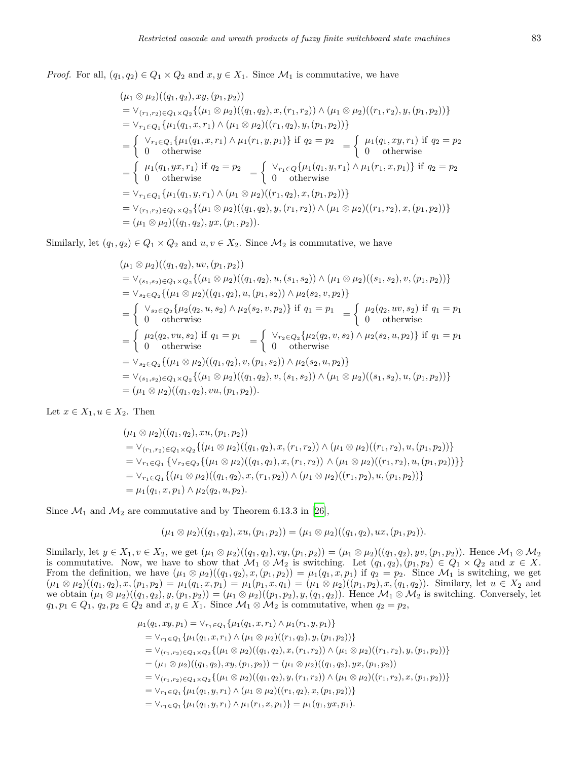*Proof.* For all,  $(q_1, q_2) \in Q_1 \times Q_2$  and  $x, y \in X_1$ . Since  $M_1$  is commutative, we have

$$
(\mu_1 \otimes \mu_2)((q_1, q_2), xy, (p_1, p_2))
$$
  
\n
$$
= \vee_{(r_1, r_2) \in Q_1 \times Q_2} \{ (\mu_1 \otimes \mu_2)((q_1, q_2), x, (r_1, r_2)) \wedge (\mu_1 \otimes \mu_2)((r_1, r_2), y, (p_1, p_2)) \}
$$
  
\n
$$
= \vee_{r_1 \in Q_1} \{ \mu_1(q_1, x, r_1) \wedge (\mu_1 \otimes \mu_2)((r_1, q_2), y, (p_1, p_2)) \}
$$
  
\n
$$
= \begin{cases} \vee_{r_1 \in Q_1} \{ \mu_1(q_1, x, r_1) \wedge \mu_1(r_1, y, p_1) \} \text{ if } q_2 = p_2 \\ 0 \text{ otherwise} \end{cases} = \begin{cases} \mu_1(q_1, xy, r_1) \text{ if } q_2 = p_2 \\ 0 \text{ otherwise} \end{cases}
$$
  
\n
$$
= \begin{cases} \mu_1(q_1, yx, r_1) \text{ if } q_2 = p_2 \\ 0 \text{ otherwise} \end{cases} = \begin{cases} \vee_{r_1 \in Q} \{ \mu_1(q_1, y, r_1) \wedge \mu_1(r_1, x, p_1) \} \text{ if } q_2 = p_2 \\ 0 \text{ otherwise} \end{cases}
$$
  
\n
$$
= \vee_{r_1 \in Q_1} \{ \mu_1(q_1, y, r_1) \wedge (\mu_1 \otimes \mu_2)((r_1, q_2), x, (p_1, p_2)) \}
$$
  
\n
$$
= \vee_{(r_1, r_2) \in Q_1 \times Q_2} \{ (\mu_1 \otimes \mu_2)((q_1, q_2), y, (r_1, r_2)) \wedge (\mu_1 \otimes \mu_2)((r_1, r_2), x, (p_1, p_2)) \}
$$
  
\n
$$
= (\mu_1 \otimes \mu_2)((q_1, q_2), yx, (p_1, p_2)).
$$

Similarly, let  $(q_1, q_2) \in Q_1 \times Q_2$  and  $u, v \in X_2$ . Since  $M_2$  is commutative, we have

$$
(\mu_1 \otimes \mu_2)((q_1, q_2), uv, (p_1, p_2))
$$
  
\n
$$
= \vee_{(s_1, s_2) \in Q_1 \times Q_2} \{ (\mu_1 \otimes \mu_2)((q_1, q_2), u, (s_1, s_2)) \wedge (\mu_1 \otimes \mu_2)((s_1, s_2), v, (p_1, p_2)) \}
$$
  
\n
$$
= \vee_{s_2 \in Q_2} \{ (\mu_1 \otimes \mu_2)((q_1, q_2), u, (p_1, s_2)) \wedge \mu_2(s_2, v, p_2) \}
$$
  
\n
$$
= \begin{cases} \vee_{s_2 \in Q_2} \{ \mu_2(q_2, u, s_2) \wedge \mu_2(s_2, v, p_2) \} & \text{if } q_1 = p_1 \\ 0 & \text{otherwise} \end{cases} = \begin{cases} \mu_2(q_2, uv, s_2) & \text{if } q_1 = p_1 \\ 0 & \text{otherwise} \end{cases}
$$
  
\n
$$
= \begin{cases} \mu_2(q_2, vu, s_2) & \text{if } q_1 = p_1 \\ 0 & \text{otherwise} \end{cases} = \begin{cases} \vee_{r_2 \in Q_2} \{ \mu_2(q_2, v, s_2) \wedge \mu_2(s_2, u, p_2) \} & \text{if } q_1 = p_1 \\ 0 & \text{otherwise} \end{cases}
$$
  
\n
$$
= \vee_{s_2 \in Q_2} \{ (\mu_1 \otimes \mu_2)((q_1, q_2), v, (p_1, s_2)) \wedge \mu_2(s_2, u, p_2) \}
$$
  
\n
$$
= \vee_{(s_1, s_2) \in Q_1 \times Q_2} \{ (\mu_1 \otimes \mu_2)((q_1, q_2), v, (s_1, s_2)) \wedge (\mu_1 \otimes \mu_2)((s_1, s_2), u, (p_1, p_2)) \}
$$
  
\n
$$
= (\mu_1 \otimes \mu_2)((q_1, q_2), vu, (p_1, p_2)).
$$

Let  $x \in X_1, u \in X_2$ . Then

$$
(\mu_1 \otimes \mu_2)((q_1, q_2), xu, (p_1, p_2))
$$
  
=  $\vee_{(r_1, r_2) \in Q_1 \times Q_2} \{ (\mu_1 \otimes \mu_2)((q_1, q_2), x, (r_1, r_2)) \wedge (\mu_1 \otimes \mu_2)((r_1, r_2), u, (p_1, p_2)) \}$   
=  $\vee_{r_1 \in Q_1} \{ \vee_{r_2 \in Q_2} \{ (\mu_1 \otimes \mu_2)((q_1, q_2), x, (r_1, r_2)) \wedge (\mu_1 \otimes \mu_2)((r_1, r_2), u, (p_1, p_2)) \} \}$   
=  $\vee_{r_1 \in Q_1} \{ (\mu_1 \otimes \mu_2)((q_1, q_2), x, (r_1, p_2)) \wedge (\mu_1 \otimes \mu_2)((r_1, p_2), u, (p_1, p_2)) \}$   
=  $\mu_1(q_1, x, p_1) \wedge \mu_2(q_2, u, p_2).$ 

Since  $\mathcal{M}_1$  and  $\mathcal{M}_2$  are commutative and by Theorem 6.13.3 in [[26\]](#page-13-13),

$$
(\mu_1 \otimes \mu_2)((q_1, q_2), xu, (p_1, p_2)) = (\mu_1 \otimes \mu_2)((q_1, q_2), ux, (p_1, p_2)).
$$

Similarly, let  $y \in X_1, v \in X_2$ , we get  $(\mu_1 \otimes \mu_2)((q_1, q_2), vy, (p_1, p_2)) = (\mu_1 \otimes \mu_2)((q_1, q_2), yv, (p_1, p_2))$ . Hence  $\mathcal{M}_1 \otimes \mathcal{M}_2$ is commutative. Now, we have to show that  $\mathcal{M}_1 \otimes \mathcal{M}_2$  is switching. Let  $(q_1, q_2), (p_1, p_2) \in Q_1 \times Q_2$  and  $x \in X$ . From the definition, we have  $(\mu_1 \otimes \mu_2)((q_1, q_2), x, (p_1, p_2)) = \mu_1(q_1, x, p_1)$  if  $q_2 = p_2$ . Since  $\mathcal{M}_1$  is switching, we get  $(\mu_1 \otimes \mu_2)((q_1, q_2), x, (p_1, p_2) = \mu_1(q_1, x, p_1) = \mu_1(p_1, x, q_1) = (\mu_1 \otimes \mu_2)((p_1, p_2), x, (q_1, q_2)).$  Similary, let  $u \in X_2$  and we obtain  $(\mu_1 \otimes \mu_2)((q_1, q_2), y, (p_1, p_2)) = (\mu_1 \otimes \mu_2)((p_1, p_2), y, (q_1, q_2))$ . Hence  $\mathcal{M}_1 \otimes \mathcal{M}_2$  is switching. Conversely, let  $q_1, p_1 \in Q_1, q_2, p_2 \in Q_2$  and  $x, y \in X_1$ . Since  $\mathcal{M}_1 \otimes \mathcal{M}_2$  is commutative, when  $q_2 = p_2$ ,

$$
\mu_1(q_1, xy, p_1) = \vee_{r_1 \in Q_1} \{ \mu_1(q_1, x, r_1) \land \mu_1(r_1, y, p_1) \}
$$
  
\n
$$
= \vee_{r_1 \in Q_1} \{ \mu_1(q_1, x, r_1) \land (\mu_1 \otimes \mu_2)((r_1, q_2), y, (p_1, p_2)) \}
$$
  
\n
$$
= \vee_{(r_1, r_2) \in Q_1 \times Q_2} \{ (\mu_1 \otimes \mu_2)((q_1, q_2), x, (r_1, r_2)) \land (\mu_1 \otimes \mu_2)((r_1, r_2), y, (p_1, p_2)) \}
$$
  
\n
$$
= (\mu_1 \otimes \mu_2)((q_1, q_2), xy, (p_1, p_2)) = (\mu_1 \otimes \mu_2)((q_1, q_2), yx, (p_1, p_2))
$$
  
\n
$$
= \vee_{(r_1, r_2) \in Q_1 \times Q_2} \{ (\mu_1 \otimes \mu_2)((q_1, q_2), y, (r_1, r_2)) \land (\mu_1 \otimes \mu_2)((r_1, r_2), x, (p_1, p_2)) \}
$$
  
\n
$$
= \vee_{r_1 \in Q_1} \{ \mu_1(q_1, y, r_1) \land (\mu_1 \otimes \mu_2)((r_1, q_2), x, (p_1, p_2)) \}
$$
  
\n
$$
= \vee_{r_1 \in Q_1} \{ \mu_1(q_1, y, r_1) \land \mu_1(r_1, x, p_1) \} = \mu_1(q_1, yx, p_1).
$$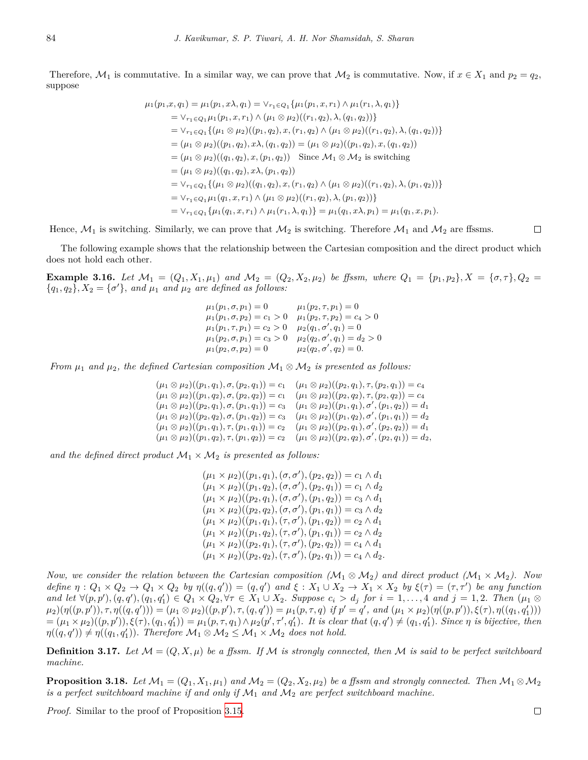Therefore,  $\mathcal{M}_1$  is commutative. In a similar way, we can prove that  $\mathcal{M}_2$  is commutative. Now, if  $x \in X_1$  and  $p_2 = q_2$ , suppose

$$
\mu_1(p_1, x, q_1) = \mu_1(p_1, x\lambda, q_1) = \vee_{r_1 \in Q_1} \{\mu_1(p_1, x, r_1) \wedge \mu_1(r_1, \lambda, q_1)\}
$$
  
\n
$$
= \vee_{r_1 \in Q_1} \mu_1(p_1, x, r_1) \wedge (\mu_1 \otimes \mu_2)((r_1, q_2), \lambda, (q_1, q_2))\}
$$
  
\n
$$
= \vee_{r_1 \in Q_1} \{(\mu_1 \otimes \mu_2)((p_1, q_2), x, (r_1, q_2) \wedge (\mu_1 \otimes \mu_2)((r_1, q_2), \lambda, (q_1, q_2))\}
$$
  
\n
$$
= (\mu_1 \otimes \mu_2)((p_1, q_2), x\lambda, (q_1, q_2)) = (\mu_1 \otimes \mu_2)((p_1, q_2), x, (q_1, q_2))
$$
  
\n
$$
= (\mu_1 \otimes \mu_2)((q_1, q_2), x, (p_1, q_2)) \text{ Since } \mathcal{M}_1 \otimes \mathcal{M}_2 \text{ is switching}
$$
  
\n
$$
= (\mu_1 \otimes \mu_2)((q_1, q_2), x\lambda, (p_1, q_2))
$$
  
\n
$$
= \vee_{r_1 \in Q_1} \{(\mu_1 \otimes \mu_2)((q_1, q_2), x, (r_1, q_2) \wedge (\mu_1 \otimes \mu_2)((r_1, q_2), \lambda, (p_1, q_2))\}
$$
  
\n
$$
= \vee_{r_1 \in Q_1} \mu_1(q_1, x, r_1) \wedge (\mu_1 \otimes \mu_2)((r_1, q_2), \lambda, (p_1, q_2))\}
$$
  
\n
$$
= \vee_{r_1 \in Q_1} \{\mu_1(q_1, x, r_1) \wedge \mu_1(r_1, \lambda, q_1)\} = \mu_1(q_1, x\lambda, p_1) = \mu_1(q_1, x, p_1).
$$

 $\Box$ Hence,  $M_1$  is switching. Similarly, we can prove that  $M_2$  is switching. Therefore  $M_1$  and  $M_2$  are ffssms.

The following example shows that the relationship between the Cartesian composition and the direct product which does not hold each other.

**Example 3.16.** Let  $M_1 = (Q_1, X_1, \mu_1)$  and  $M_2 = (Q_2, X_2, \mu_2)$  be ffssm, where  $Q_1 = \{p_1, p_2\}, X = \{\sigma, \tau\}, Q_2 = \{\sigma, \tau\}$  ${q_1, q_2}, X_2 = {\sigma'}$ , and  $\mu_1$  and  $\mu_2$  are defined as follows:

> $\mu_1(p_1, \sigma, p_1) = 0$   $\mu_1(p_2, \tau, p_1) = 0$  $\mu_1(p_1, \sigma, p_2) = c_1 > 0 \quad \mu_1(p_2, \tau, p_2) = c_4 > 0$  $\mu_1(p_1,\tau,p_1) = c_2 > 0 \quad \mu_2(q_1,\sigma',q_1) = 0$  $\mu_1(p_2, \sigma, p_1) = c_3 > 0 \quad \mu_2(q_2, \sigma', q_1) = d_2 > 0$  $\mu_1(p_2, \sigma, p_2) = 0$   $\mu_2(q_2, \sigma', q_2) = 0.$

*From*  $\mu_1$  *and*  $\mu_2$ *, the defined Cartesian composition*  $\mathcal{M}_1 \otimes \mathcal{M}_2$  *is presented as follows:* 

 $(\mu_1 \otimes \mu_2)((p_1, q_1), \sigma, (p_2, q_1)) = c_1 \quad (\mu_1 \otimes \mu_2)((p_2, q_1), \tau, (p_2, q_1)) = c_4$  $(\mu_1 \otimes \mu_2)((p_1, q_2), \sigma, (p_2, q_2)) = c_1 \quad (\mu_1 \otimes \mu_2)((p_2, q_2), \tau, (p_2, q_2)) = c_4$  $(\mu_1 \otimes \mu_2)((p_2,q_1),\sigma,(p_1,q_1)) = c_3 \quad (\mu_1 \otimes \mu_2)((p_1,q_1),\sigma',(p_1,q_2)) = d_1$  $(\mu_1 \otimes \mu_2)((p_2,q_2),\sigma,(p_1,q_2)) = c_3 \quad (\mu_1 \otimes \mu_2)((p_1,q_2),\sigma',(p_1,q_1)) = d_2$  $(\mu_1 \otimes \mu_2)((p_1, q_1), \tau, (p_1, q_1)) = c_2 \quad (\mu_1 \otimes \mu_2)((p_2, q_1), \sigma', (p_2, q_2)) = d_1$  $(\mu_1 \otimes \mu_2)((p_1, q_2), \tau, (p_1, q_2)) = c_2 \quad (\mu_1 \otimes \mu_2)((p_2, q_2), \sigma', (p_2, q_1)) = d_2,$ 

and the defined direct product  $\mathcal{M}_1 \times \mathcal{M}_2$  is presented as follows:

 $(\mu_1 \times \mu_2)((p_1, q_1), (\sigma, \sigma'), (p_2, q_2)) = c_1 \wedge d_1$  $(\mu_1 \times \mu_2)((p_1, q_2), (\sigma, \sigma'), (p_2, q_1)) = c_1 \wedge d_2$  $(\mu_1 \times \mu_2)((p_2, q_1), (\sigma, \sigma'), (p_1, q_2)) = c_3 \wedge d_1$  $(\mu_1 \times \mu_2)((p_2, q_2), (\sigma, \sigma'), (p_1, q_1)) = c_3 \wedge d_2$  $(\mu_1 \times \mu_2)((p_1, q_1), (\tau, \sigma'), (p_1, q_2)) = c_2 \wedge d_1$  $(\mu_1 \times \mu_2)((p_1, q_2), (\tau, \sigma'), (p_1, q_1)) = c_2 \wedge d_2$  $(\mu_1 \times \mu_2)((p_2, q_1), (\tau, \sigma'), (p_2, q_2)) = c_4 \wedge d_1$  $(\mu_1 \times \mu_2)((p_2, q_2), (\tau, \sigma'), (p_2, q_1)) = c_4 \wedge d_2.$ 

*Now, we consider the relation between the Cartesian composition*  $(M_1 \otimes M_2)$  *and direct product*  $(M_1 \times M_2)$ *. Now* define  $\eta: Q_1 \times Q_2 \to Q_1 \times Q_2$  by  $\eta((q,q')) = (q,q')$  and  $\xi: X_1 \cup X_2 \to X_1 \times X_2$  by  $\xi(\tau) = (\tau, \tau')$  be any function and let  $\forall (p, p'), (q, q'), (q_1, q'_1) \in Q_1 \times Q_2, \forall \tau \in X_1 \cup X_2$ . Suppose  $c_i > d_j$  for  $i = 1, \ldots, 4$  and  $j = 1, 2$ . Then  $(\mu_1 \otimes$  $(\mu_2)(\eta((p,p')), \tau, \eta((q,q')))=(\mu_1 \otimes \mu_2)((p,p'), \tau, (q,q'))=\mu_1(p,\tau,q) \text{ if } p'=q', \text{ and } (\mu_1 \times \mu_2)(\eta((p,p')), \xi(\tau), \eta((q_1,q_1')))$  $=(\mu_1 \times \mu_2)((p,p')), \xi(\tau), (q_1, q'_1)) = \mu_1(p, \tau, q_1) \wedge \mu_2(p', \tau', q'_1)$ . It is clear that  $(q, q') \neq (q_1, q'_1)$ . Since  $\eta$  is bijective, then  $\eta((q, q')) \neq \eta((q_1, q'_1))$ . *Therefore*  $\mathcal{M}_1 \otimes \mathcal{M}_2 \leq \mathcal{M}_1 \times \mathcal{M}_2$  does not hold.

**Definition 3.17.** Let  $\mathcal{M} = (Q, X, \mu)$  be a ffssm. If  $\mathcal{M}$  is strongly connected, then  $\mathcal{M}$  is said to be perfect switchboard *machine.*

**Proposition 3.18.** Let  $M_1 = (Q_1, X_1, \mu_1)$  and  $M_2 = (Q_2, X_2, \mu_2)$  be a ffssm and strongly connected. Then  $M_1 \otimes M_2$ *is a perfect switchboard machine if and only if M*<sup>1</sup> *and M*<sup>2</sup> *are perfect switchboard machine.*

*Proof.* Similar to the proof of Proposition [3.15.](#page-7-0)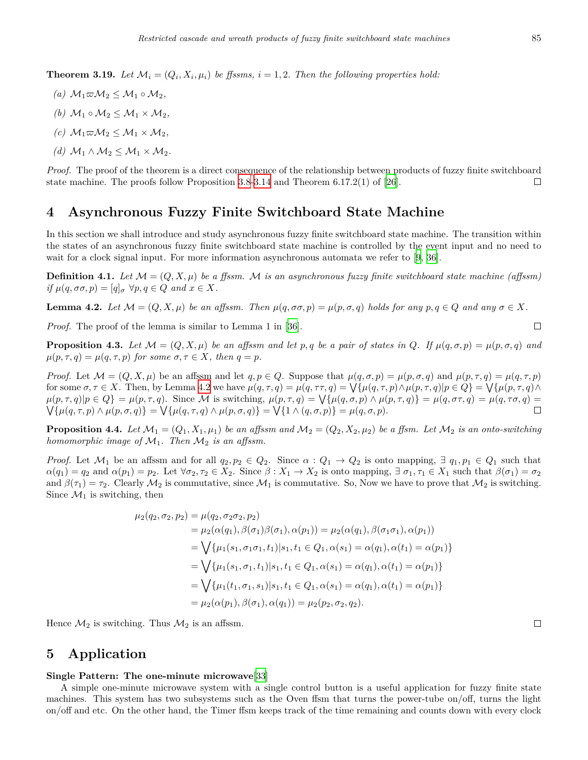**Theorem 3.19.** Let  $\mathcal{M}_i = (Q_i, X_i, \mu_i)$  be ffssms,  $i = 1, 2$ . Then the following properties hold:

- $(a)$   $M_1$ ∞ $M_2$  <  $M_1$  ∘ $M_2$ ,
- *(b)*  $M_1 ∘ M_2 ≤ M_1 × M_2$
- $(c)$   $M_1 \varpi M_2 \leq M_1 \times M_2$
- *(d)*  $M_1$  ∧  $M_2$  ≤  $M_1$  ×  $M_2$ .

*Proof.* The proof of the theorem is a direct consequence of the relationship between products of fuzzy finite switchboard state machine. The proofs follow Proposition [3.8](#page-5-1)[-3.14](#page-7-1) and Theorem 6.17.2(1) of [[26](#page-13-13)].  $\Box$ 

### **4 Asynchronous Fuzzy Finite Switchboard State Machine**

In this section we shall introduce and study asynchronous fuzzy finite switchboard state machine. The transition within the states of an asynchronous fuzzy finite switchboard state machine is controlled by the event input and no need to wait for a clock signal input. For more information asynchronous automata we refer to [\[9](#page-12-18), [36](#page-13-11)].

**Definition 4.1.** Let  $\mathcal{M} = (Q, X, \mu)$  be a ffssm. M is an asynchronous fuzzy finite switchboard state machine (affssm)  $if \mu(q, \sigma\sigma, p) = [q]_{\sigma} \ \forall p, q \in Q \ and \ x \in X.$ 

<span id="page-10-0"></span>**Lemma 4.2.** Let  $\mathcal{M} = (Q, X, \mu)$  be an affssm. Then  $\mu(q, \sigma\sigma, p) = \mu(p, \sigma, q)$  holds for any  $p, q \in Q$  and any  $\sigma \in X$ .

*Proof.* The proof of the lemma is similar to Lemma 1 in [[36\]](#page-13-11).

**Proposition 4.3.** Let  $\mathcal{M} = (Q, X, \mu)$  be an affssm and let p, q be a pair of states in Q. If  $\mu(q, \sigma, p) = \mu(p, \sigma, q)$  and  $\mu(p, \tau, q) = \mu(q, \tau, p)$  *for some*  $\sigma, \tau \in X$ *, then*  $q = p$ *.* 

*Proof.* Let  $\mathcal{M} = (Q, X, \mu)$  be an affissm and let  $q, p \in Q$ . Suppose that  $\mu(q, \sigma, p) = \mu(p, \sigma, q)$  and  $\mu(p, \tau, q) = \mu(q, \tau, p)$ for some  $\sigma, \tau \in X$ . Then, by Lemma [4.2](#page-10-0) we have  $\mu(q, \tau, q) = \mu(q, \tau, q) = \sqrt{\{\mu(q, \tau, p) \wedge \mu(p, \tau, q) | p \in Q\}} = \sqrt{\{\mu(p, \tau, q) \wedge \mu(q, \tau, q) | p \in Q\}}$  $\mu(p,\tau,q)|p\in Q$  =  $\mu(p,\tau,q)$ . Since M is switching,  $\mu(p,\tau,q) = \sqrt{\{\mu(q,\sigma,p) \wedge \mu(p,\tau,q)\}} = \mu(q,\sigma\tau,q) = \mu(q,\tau\sigma,q)$  $\mathcal{N}\{\mu(q,\tau,p)\wedge\mu(p,\sigma,q)\}=\mathcal{N}\{\mu(q,\tau,q)\wedge\mu(p,\sigma,q)\}=\mathcal{N}\{1\wedge(q,\sigma,p)\}=\mu(q,\sigma,p).$  $\Box$ 

**Proposition 4.4.** Let  $\mathcal{M}_1 = (Q_1, X_1, \mu_1)$  be an affssm and  $\mathcal{M}_2 = (Q_2, X_2, \mu_2)$  be a ffsm. Let  $\mathcal{M}_2$  is an onto-switching *homomorphic image of*  $M_1$ . Then  $M_2$  *is an affssm.* 

*Proof.* Let  $M_1$  be an affssm and for all  $q_2, p_2 \in Q_2$ . Since  $\alpha: Q_1 \to Q_2$  is onto mapping,  $\exists q_1, p_1 \in Q_1$  such that  $\alpha(q_1) = q_2$  and  $\alpha(p_1) = p_2$ . Let  $\forall \sigma_2, \tau_2 \in X_2$ . Since  $\beta : X_1 \to X_2$  is onto mapping,  $\exists \sigma_1, \tau_1 \in X_1$  such that  $\beta(\sigma_1) = \sigma_2$ and  $\beta(\tau_1) = \tau_2$ . Clearly  $\mathcal{M}_2$  is commutative, since  $\mathcal{M}_1$  is commutative. So, Now we have to prove that  $\mathcal{M}_2$  is switching. Since  $\mathcal{M}_1$  is switching, then

$$
\mu_2(q_2, \sigma_2, p_2) = \mu(q_2, \sigma_2 \sigma_2, p_2)
$$
  
\n
$$
= \mu_2(\alpha(q_1), \beta(\sigma_1)\beta(\sigma_1), \alpha(p_1)) = \mu_2(\alpha(q_1), \beta(\sigma_1 \sigma_1), \alpha(p_1))
$$
  
\n
$$
= \bigvee \{ \mu_1(s_1, \sigma_1 \sigma_1, t_1) | s_1, t_1 \in Q_1, \alpha(s_1) = \alpha(q_1), \alpha(t_1) = \alpha(p_1) \}
$$
  
\n
$$
= \bigvee \{ \mu_1(s_1, \sigma_1, t_1) | s_1, t_1 \in Q_1, \alpha(s_1) = \alpha(q_1), \alpha(t_1) = \alpha(p_1) \}
$$
  
\n
$$
= \bigvee \{ \mu_1(t_1, \sigma_1, s_1) | s_1, t_1 \in Q_1, \alpha(s_1) = \alpha(q_1), \alpha(t_1) = \alpha(p_1) \}
$$
  
\n
$$
= \mu_2(\alpha(p_1), \beta(\sigma_1), \alpha(q_1)) = \mu_2(p_2, \sigma_2, q_2).
$$

Hence  $\mathcal{M}_2$  is switching. Thus  $\mathcal{M}_2$  is an affssm.

## **5 Application**

#### **Single Pattern: The one-minute microwave**[[33\]](#page-13-0)

A simple one-minute microwave system with a single control button is a useful application for fuzzy finite state machines. This system has two subsystems such as the Oven ffsm that turns the power-tube on/off, turns the light on/off and etc. On the other hand, the Timer ffsm keeps track of the time remaining and counts down with every clock

 $\Box$ 

 $\Box$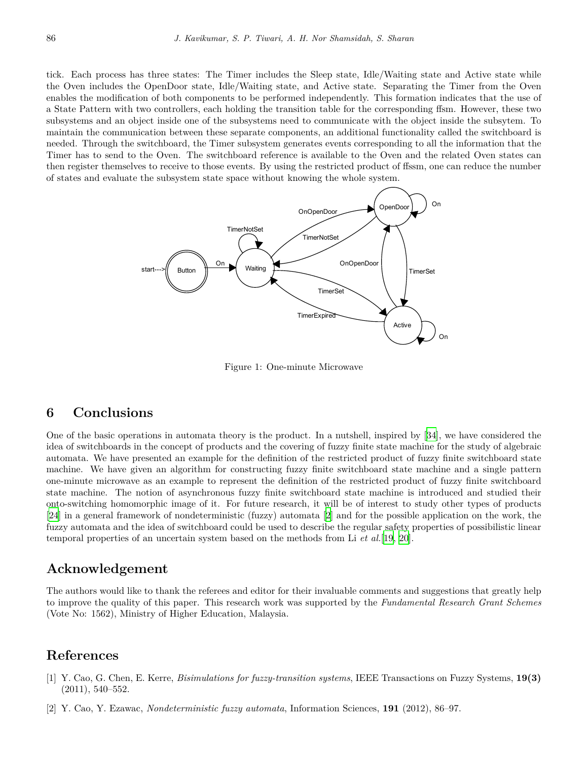tick. Each process has three states: The Timer includes the Sleep state, Idle/Waiting state and Active state while the Oven includes the OpenDoor state, Idle/Waiting state, and Active state. Separating the Timer from the Oven enables the modification of both components to be performed independently. This formation indicates that the use of a State Pattern with two controllers, each holding the transition table for the corresponding ffsm. However, these two subsystems and an object inside one of the subsystems need to communicate with the object inside the subsytem. To maintain the communication between these separate components, an additional functionality called the switchboard is needed. Through the switchboard, the Timer subsystem generates events corresponding to all the information that the Timer has to send to the Oven. The switchboard reference is available to the Oven and the related Oven states can then register themselves to receive to those events. By using the restricted product of ffssm, one can reduce the number of states and evaluate the subsystem state space without knowing the whole system.



Figure 1: One-minute Microwave

## **6 Conclusions**

machine. We have given an algorithm for constructing fuzzy finite switchboard state machine and a single pattern na minuta microwar one-minute microwave as an example to represent the definition of the restricted product of fuzzy finite switchboard state machine. The notion of asynchronous fuzzy finite switchboard state machine is introduced and studied their onto-switching homomorphic image of it. For future research, it will be of interest to study other types of products  $\frac{1}{2}$  $\frac{1}{2}$  [[24\]](#page-12-3) in a general framework of nondeterministic (fuzzy) automata [\[2](#page-11-1)] and for the possible application on the work, the fuzzy automata and the idea of switchboard could be used to describe the regular safety properties of possibilistic linear temporal properties of an uncertain system based on the methods from Li *et al.*[[19,](#page-12-12) [20\]](#page-12-13). One of the basic operations in automata theory is the product. In a nutshell, inspired by [\[34](#page-13-12)], we have considered the idea of switchboards in the concept of products and the covering of fuzzy finite state machine for the study of algebraic automata. We have presented an example for the definition of the restricted product of fuzzy finite switchboard state

## **Acknowledgement**

The authors would like to thank the referees and editor for their invaluable comments and suggestions that greatly help to improve the quality of this paper. This research work was supported by the *Fundamental Research Grant Schemes* (Vote No: 1562), Ministry of Higher Education, Malaysia.

## **References**

- <span id="page-11-0"></span>[1] Y. Cao, G. Chen, E. Kerre, *Bisimulations for fuzzy-transition systems*, IEEE Transactions on Fuzzy Systems, **19(3)** (2011), 540–552.
- <span id="page-11-1"></span>[2] Y. Cao, Y. Ezawac, *Nondeterministic fuzzy automata*, Information Sciences, **191** (2012), 86–97.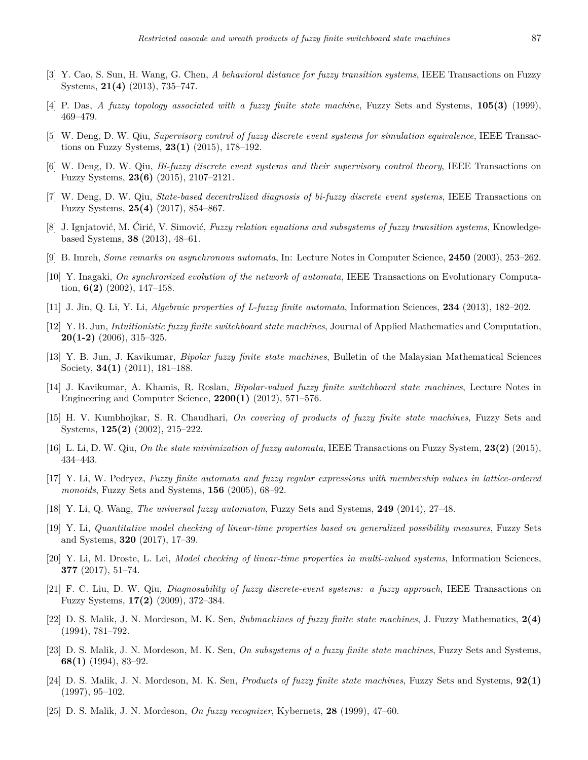- <span id="page-12-10"></span>[3] Y. Cao, S. Sun, H. Wang, G. Chen, *A behavioral distance for fuzzy transition systems*, IEEE Transactions on Fuzzy Systems, **21(4)** (2013), 735–747.
- <span id="page-12-9"></span>[4] P. Das, *A fuzzy topology associated with a fuzzy finite state machine*, Fuzzy Sets and Systems, **105(3)** (1999), 469–479.
- <span id="page-12-14"></span>[5] W. Deng, D. W. Qiu, *Supervisory control of fuzzy discrete event systems for simulation equivalence*, IEEE Transactions on Fuzzy Systems, **23(1)** (2015), 178–192.
- <span id="page-12-16"></span>[6] W. Deng, D. W. Qiu, *Bi-fuzzy discrete event systems and their supervisory control theory*, IEEE Transactions on Fuzzy Systems, **23(6)** (2015), 2107–2121.
- <span id="page-12-17"></span>[7] W. Deng, D. W. Qiu, *State-based decentralized diagnosis of bi-fuzzy discrete event systems*, IEEE Transactions on Fuzzy Systems, **25(4)** (2017), 854–867.
- <span id="page-12-11"></span>[8] J. Ignjatović, M. Ćirić, V. Simović, *Fuzzy relation equations and subsystems of fuzzy transition systems*, Knowledgebased Systems, **38** (2013), 48–61.
- <span id="page-12-18"></span>[9] B. Imreh, *Some remarks on asynchronous automata*, In: Lecture Notes in Computer Science, **2450** (2003), 253–262.
- <span id="page-12-0"></span>[10] Y. Inagaki, *On synchronized evolution of the network of automata*, IEEE Transactions on Evolutionary Computation, **6(2)** (2002), 147–158.
- <span id="page-12-7"></span>[11] J. Jin, Q. Li, Y. Li, *Algebraic properties of L-fuzzy finite automata*, Information Sciences, **234** (2013), 182–202.
- <span id="page-12-19"></span>[12] Y. B. Jun, *Intuitionistic fuzzy finite switchboard state machines*, Journal of Applied Mathematics and Computation, **20(1-2)** (2006), 315–325.
- <span id="page-12-20"></span>[13] Y. B. Jun, J. Kavikumar, *Bipolar fuzzy finite state machines*, Bulletin of the Malaysian Mathematical Sciences Society, **34(1)** (2011), 181–188.
- <span id="page-12-21"></span>[14] J. Kavikumar, A. Khamis, R. Roslan, *Bipolar-valued fuzzy finite switchboard state machines*, Lecture Notes in Engineering and Computer Science, **2200(1)** (2012), 571–576.
- <span id="page-12-4"></span>[15] H. V. Kumbhojkar, S. R. Chaudhari, *On covering of products of fuzzy finite state machines*, Fuzzy Sets and Systems, **125(2)** (2002), 215–222.
- <span id="page-12-5"></span>[16] L. Li, D. W. Qiu, *On the state minimization of fuzzy automata*, IEEE Transactions on Fuzzy System, **23(2)** (2015), 434–443.
- <span id="page-12-6"></span>[17] Y. Li, W. Pedrycz, *Fuzzy finite automata and fuzzy regular expressions with membership values in lattice-ordered monoids*, Fuzzy Sets and Systems, **156** (2005), 68–92.
- <span id="page-12-8"></span>[18] Y. Li, Q. Wang, *The universal fuzzy automaton*, Fuzzy Sets and Systems, **249** (2014), 27–48.
- <span id="page-12-12"></span>[19] Y. Li, *Quantitative model checking of linear-time properties based on generalized possibility measures*, Fuzzy Sets and Systems, **320** (2017), 17–39.
- <span id="page-12-13"></span>[20] Y. Li, M. Droste, L. Lei, *Model checking of linear-time properties in multi-valued systems*, Information Sciences, **377** (2017), 51–74.
- <span id="page-12-15"></span>[21] F. C. Liu, D. W. Qiu, *Diagnosability of fuzzy discrete-event systems: a fuzzy approach*, IEEE Transactions on Fuzzy Systems, **17(2)** (2009), 372–384.
- <span id="page-12-1"></span>[22] D. S. Malik, J. N. Mordeson, M. K. Sen, *Submachines of fuzzy finite state machines*, J. Fuzzy Mathematics, **2(4)** (1994), 781–792.
- <span id="page-12-2"></span>[23] D. S. Malik, J. N. Mordeson, M. K. Sen, *On subsystems of a fuzzy finite state machines*, Fuzzy Sets and Systems, **68(1)** (1994), 83–92.
- <span id="page-12-3"></span>[24] D. S. Malik, J. N. Mordeson, M. K. Sen, *Products of fuzzy finite state machines*, Fuzzy Sets and Systems, **92(1)** (1997), 95–102.
- <span id="page-12-22"></span>[25] D. S. Malik, J. N. Mordeson, *On fuzzy recognizer*, Kybernets, **28** (1999), 47–60.